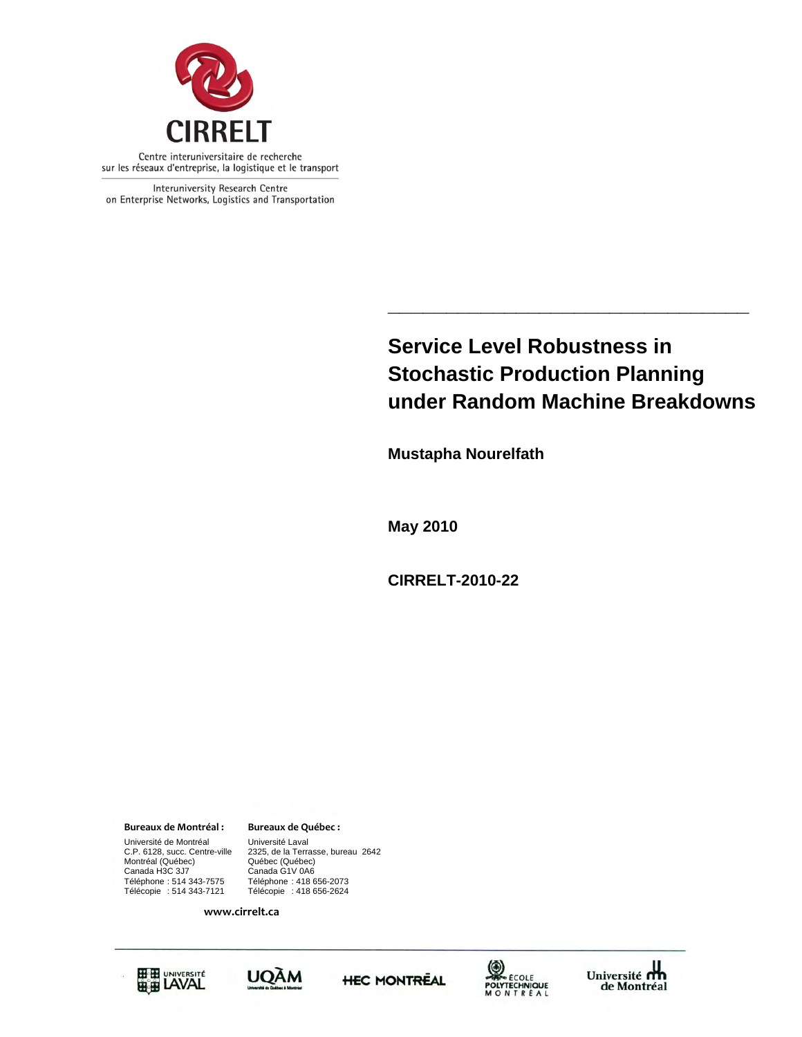

Interuniversity Research Centre on Enterprise Networks, Logistics and Transportation

# **Service Level Robustness in Stochastic Production Planning under Random Machine Breakdowns**

**\_\_\_\_\_\_\_\_\_\_\_\_\_\_\_\_\_\_\_\_\_\_\_\_\_\_\_\_\_\_\_** 

**Mustapha Nourelfath** 

**May 2010** 

**CIRRELT-2010-22** 

**Bureaux de Montréal : Bureaux de Québec :**

Université de Montréal Université Laval C.P. 6128, succ. Centre-ville<br>Montréal (Québec)<br>Canada H3C 3J7 Téléphone : 514 343-7575<br>Télécopie : 514 343-7121

Canada G1V 0A6<br>Téléphone : 418 656-2073 2325, de la Terrasse, bureau 2642<br>Québec (Québec) Télécopie : 418 656-2624

**www.cirrelt.ca**









Université<br>de Montréal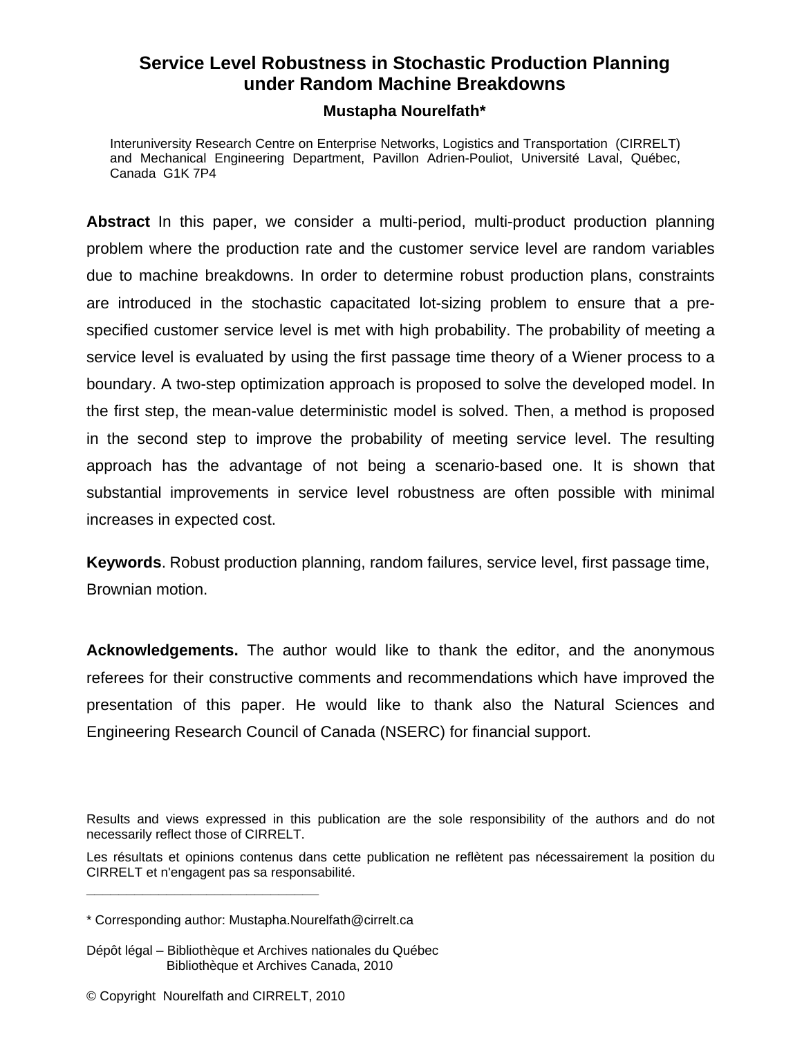# **Service Level Robustness in Stochastic Production Planning under Random Machine Breakdowns**

# **Mustapha Nourelfath\***

Interuniversity Research Centre on Enterprise Networks, Logistics and Transportation (CIRRELT) and Mechanical Engineering Department, Pavillon Adrien-Pouliot, Université Laval, Québec, Canada G1K 7P4

**Abstract** In this paper, we consider a multi-period, multi-product production planning problem where the production rate and the customer service level are random variables due to machine breakdowns. In order to determine robust production plans, constraints are introduced in the stochastic capacitated lot-sizing problem to ensure that a prespecified customer service level is met with high probability. The probability of meeting a service level is evaluated by using the first passage time theory of a Wiener process to a boundary. A two-step optimization approach is proposed to solve the developed model. In the first step, the mean-value deterministic model is solved. Then, a method is proposed in the second step to improve the probability of meeting service level. The resulting approach has the advantage of not being a scenario-based one. It is shown that substantial improvements in service level robustness are often possible with minimal increases in expected cost.

**Keywords**. Robust production planning, random failures, service level, first passage time, Brownian motion.

**Acknowledgements.** The author would like to thank the editor, and the anonymous referees for their constructive comments and recommendations which have improved the presentation of this paper. He would like to thank also the Natural Sciences and Engineering Research Council of Canada (NSERC) for financial support.

Results and views expressed in this publication are the sole responsibility of the authors and do not necessarily reflect those of CIRRELT.

Les résultats et opinions contenus dans cette publication ne reflètent pas nécessairement la position du CIRRELT et n'engagent pas sa responsabilité. **\_\_\_\_\_\_\_\_\_\_\_\_\_\_\_\_\_\_\_\_\_\_\_\_\_\_\_\_\_**

<sup>\*</sup> Corresponding author: Mustapha.Nourelfath@cirrelt.ca

Dépôt légal – Bibliothèque et Archives nationales du Québec Bibliothèque et Archives Canada, 2010

<sup>©</sup> Copyright Nourelfath and CIRRELT, 2010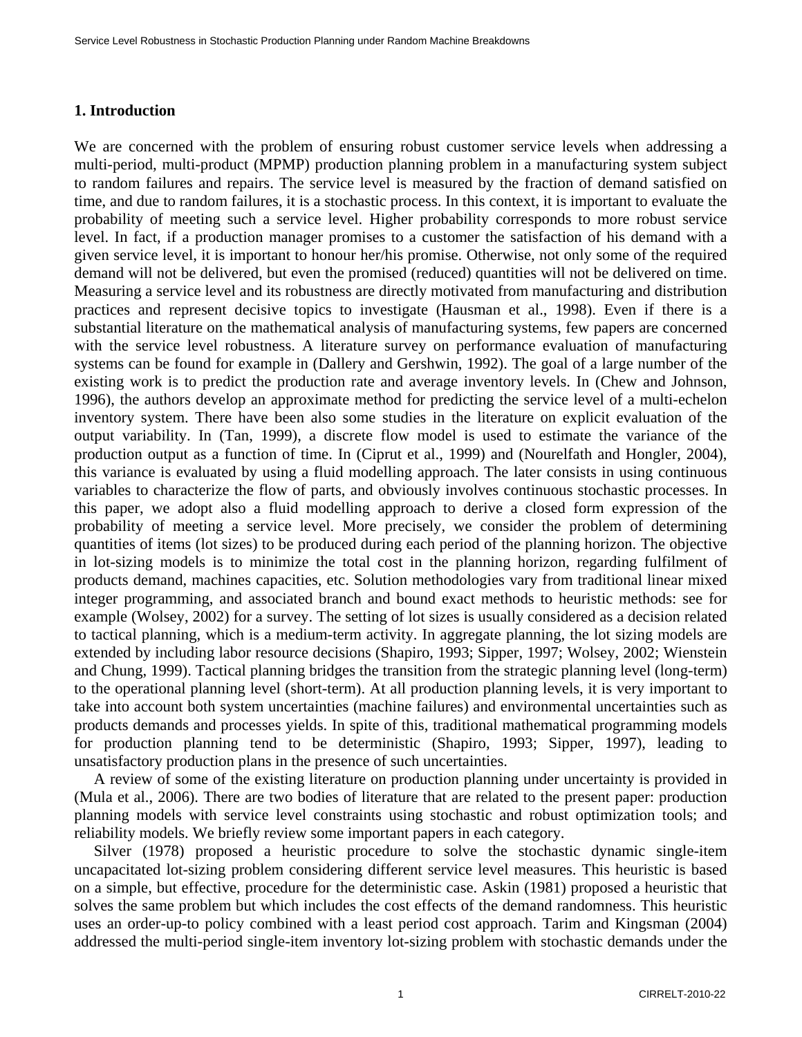# **1. Introduction**

We are concerned with the problem of ensuring robust customer service levels when addressing a multi-period, multi-product (MPMP) production planning problem in a manufacturing system subject to random failures and repairs. The service level is measured by the fraction of demand satisfied on time, and due to random failures, it is a stochastic process. In this context, it is important to evaluate the probability of meeting such a service level. Higher probability corresponds to more robust service level. In fact, if a production manager promises to a customer the satisfaction of his demand with a given service level, it is important to honour her/his promise. Otherwise, not only some of the required demand will not be delivered, but even the promised (reduced) quantities will not be delivered on time. Measuring a service level and its robustness are directly motivated from manufacturing and distribution practices and represent decisive topics to investigate (Hausman et al., 1998). Even if there is a substantial literature on the mathematical analysis of manufacturing systems, few papers are concerned with the service level robustness. A literature survey on performance evaluation of manufacturing systems can be found for example in (Dallery and Gershwin, 1992). The goal of a large number of the existing work is to predict the production rate and average inventory levels. In (Chew and Johnson, 1996), the authors develop an approximate method for predicting the service level of a multi-echelon inventory system. There have been also some studies in the literature on explicit evaluation of the output variability. In (Tan, 1999), a discrete flow model is used to estimate the variance of the production output as a function of time. In (Ciprut et al., 1999) and (Nourelfath and Hongler, 2004), this variance is evaluated by using a fluid modelling approach. The later consists in using continuous variables to characterize the flow of parts, and obviously involves continuous stochastic processes. In this paper, we adopt also a fluid modelling approach to derive a closed form expression of the probability of meeting a service level. More precisely, we consider the problem of determining quantities of items (lot sizes) to be produced during each period of the planning horizon. The objective in lot-sizing models is to minimize the total cost in the planning horizon, regarding fulfilment of products demand, machines capacities, etc. Solution methodologies vary from traditional linear mixed integer programming, and associated branch and bound exact methods to heuristic methods: see for example (Wolsey, 2002) for a survey. The setting of lot sizes is usually considered as a decision related to tactical planning, which is a medium-term activity. In aggregate planning, the lot sizing models are extended by including labor resource decisions (Shapiro, 1993; Sipper, 1997; Wolsey, 2002; Wienstein and Chung, 1999). Tactical planning bridges the transition from the strategic planning level (long-term) to the operational planning level (short-term). At all production planning levels, it is very important to take into account both system uncertainties (machine failures) and environmental uncertainties such as products demands and processes yields. In spite of this, traditional mathematical programming models for production planning tend to be deterministic (Shapiro, 1993; Sipper, 1997), leading to unsatisfactory production plans in the presence of such uncertainties.

A review of some of the existing literature on production planning under uncertainty is provided in (Mula et al., 2006). There are two bodies of literature that are related to the present paper: production planning models with service level constraints using stochastic and robust optimization tools; and reliability models. We briefly review some important papers in each category.

Silver (1978) proposed a heuristic procedure to solve the stochastic dynamic single-item uncapacitated lot-sizing problem considering different service level measures. This heuristic is based on a simple, but effective, procedure for the deterministic case. Askin (1981) proposed a heuristic that solves the same problem but which includes the cost effects of the demand randomness. This heuristic uses an order-up-to policy combined with a least period cost approach. Tarim and Kingsman (2004) addressed the multi-period single-item inventory lot-sizing problem with stochastic demands under the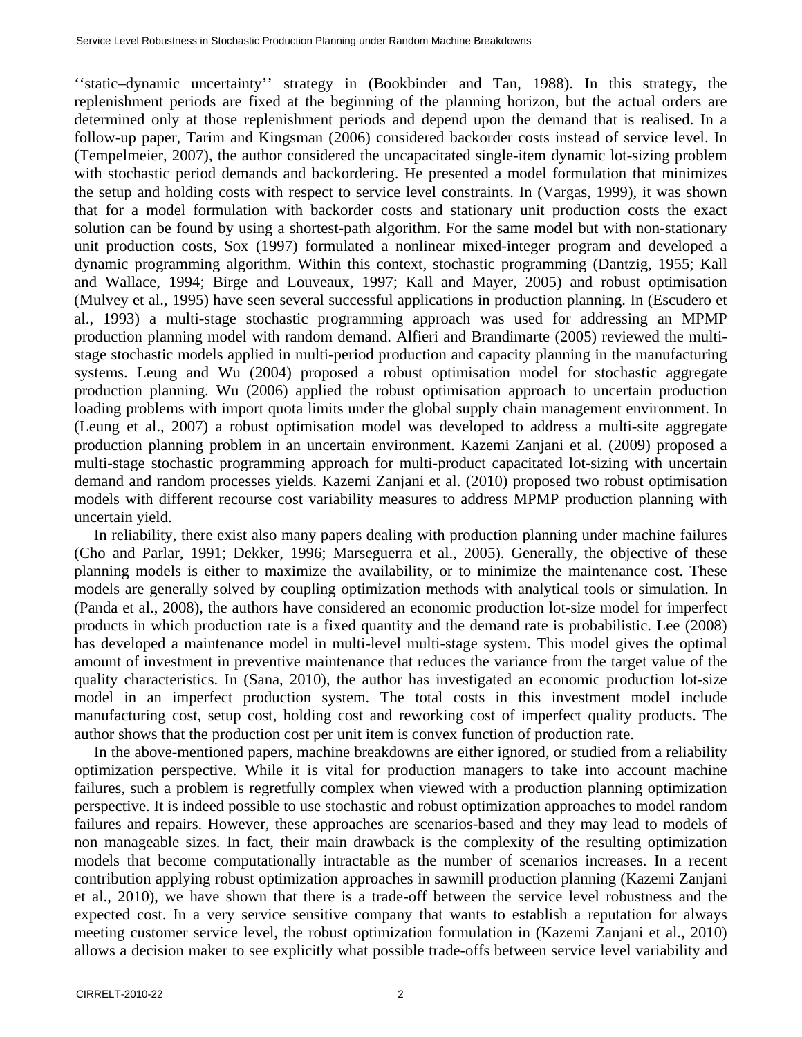''static–dynamic uncertainty'' strategy in (Bookbinder and Tan, 1988). In this strategy, the replenishment periods are fixed at the beginning of the planning horizon, but the actual orders are determined only at those replenishment periods and depend upon the demand that is realised. In a follow-up paper, Tarim and Kingsman (2006) considered backorder costs instead of service level. In (Tempelmeier, 2007), the author considered the uncapacitated single-item dynamic lot-sizing problem with stochastic period demands and backordering. He presented a model formulation that minimizes the setup and holding costs with respect to service level constraints. In (Vargas, 1999), it was shown that for a model formulation with backorder costs and stationary unit production costs the exact solution can be found by using a shortest-path algorithm. For the same model but with non-stationary unit production costs, Sox (1997) formulated a nonlinear mixed-integer program and developed a dynamic programming algorithm. Within this context, stochastic programming (Dantzig, 1955; Kall and Wallace, 1994; Birge and Louveaux, 1997; Kall and Mayer, 2005) and robust optimisation (Mulvey et al., 1995) have seen several successful applications in production planning. In (Escudero et al., 1993) a multi-stage stochastic programming approach was used for addressing an MPMP production planning model with random demand. Alfieri and Brandimarte (2005) reviewed the multistage stochastic models applied in multi-period production and capacity planning in the manufacturing systems. Leung and Wu (2004) proposed a robust optimisation model for stochastic aggregate production planning. Wu (2006) applied the robust optimisation approach to uncertain production loading problems with import quota limits under the global supply chain management environment. In (Leung et al., 2007) a robust optimisation model was developed to address a multi-site aggregate production planning problem in an uncertain environment. Kazemi Zanjani et al. (2009) proposed a multi-stage stochastic programming approach for multi-product capacitated lot-sizing with uncertain demand and random processes yields. Kazemi Zanjani et al. (2010) proposed two robust optimisation models with different recourse cost variability measures to address MPMP production planning with uncertain yield.

In reliability, there exist also many papers dealing with production planning under machine failures (Cho and Parlar, 1991; Dekker, 1996; Marseguerra et al., 2005). Generally, the objective of these planning models is either to maximize the availability, or to minimize the maintenance cost. These models are generally solved by coupling optimization methods with analytical tools or simulation. In (Panda et al., 2008), the authors have considered an economic production lot-size model for imperfect products in which production rate is a fixed quantity and the demand rate is probabilistic. Lee (2008) has developed a maintenance model in multi-level multi-stage system. This model gives the optimal amount of investment in preventive maintenance that reduces the variance from the target value of the quality characteristics. In (Sana, 2010), the author has investigated an economic production lot-size model in an imperfect production system. The total costs in this investment model include manufacturing cost, setup cost, holding cost and reworking cost of imperfect quality products. The author shows that the production cost per unit item is convex function of production rate.

In the above-mentioned papers, machine breakdowns are either ignored, or studied from a reliability optimization perspective. While it is vital for production managers to take into account machine failures, such a problem is regretfully complex when viewed with a production planning optimization perspective. It is indeed possible to use stochastic and robust optimization approaches to model random failures and repairs. However, these approaches are scenarios-based and they may lead to models of non manageable sizes. In fact, their main drawback is the complexity of the resulting optimization models that become computationally intractable as the number of scenarios increases. In a recent contribution applying robust optimization approaches in sawmill production planning (Kazemi Zanjani et al., 2010), we have shown that there is a trade-off between the service level robustness and the expected cost. In a very service sensitive company that wants to establish a reputation for always meeting customer service level, the robust optimization formulation in (Kazemi Zanjani et al., 2010) allows a decision maker to see explicitly what possible trade-offs between service level variability and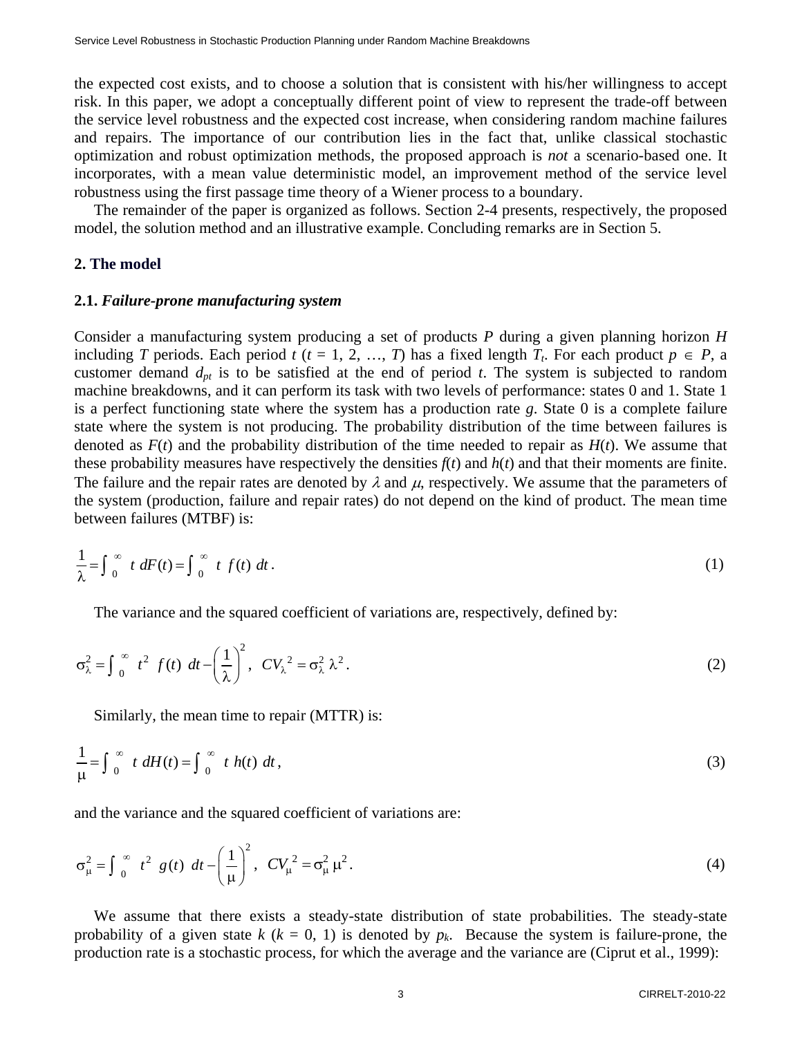the expected cost exists, and to choose a solution that is consistent with his/her willingness to accept risk. In this paper, we adopt a conceptually different point of view to represent the trade-off between the service level robustness and the expected cost increase, when considering random machine failures and repairs. The importance of our contribution lies in the fact that, unlike classical stochastic optimization and robust optimization methods, the proposed approach is *not* a scenario-based one. It incorporates, with a mean value deterministic model, an improvement method of the service level robustness using the first passage time theory of a Wiener process to a boundary.

The remainder of the paper is organized as follows. Section 2-4 presents, respectively, the proposed model, the solution method and an illustrative example. Concluding remarks are in Section 5.

#### **2. The model**

#### **2.1.** *Failure-prone manufacturing system*

Consider a manufacturing system producing a set of products *P* during a given planning horizon *H* including *T* periods. Each period *t* ( $t = 1, 2, ..., T$ ) has a fixed length  $T_t$ . For each product  $p \in P$ , a customer demand  $d_{pt}$  is to be satisfied at the end of period  $t$ . The system is subjected to random machine breakdowns, and it can perform its task with two levels of performance: states 0 and 1. State 1 is a perfect functioning state where the system has a production rate *g*. State 0 is a complete failure state where the system is not producing. The probability distribution of the time between failures is denoted as  $F(t)$  and the probability distribution of the time needed to repair as  $H(t)$ . We assume that these probability measures have respectively the densities  $f(t)$  and  $h(t)$  and that their moments are finite. The failure and the repair rates are denoted by  $\lambda$  and  $\mu$ , respectively. We assume that the parameters of the system (production, failure and repair rates) do not depend on the kind of product. The mean time between failures (MTBF) is:

$$
\frac{1}{\lambda} = \int_{0}^{\infty} t \, dF(t) = \int_{0}^{\infty} t \, f(t) \, dt \,. \tag{1}
$$

The variance and the squared coefficient of variations are, respectively, defined by:

$$
\sigma_{\lambda}^{2} = \int_{0}^{\infty} t^{2} f(t) dt - \left(\frac{1}{\lambda}\right)^{2}, CV_{\lambda}^{2} = \sigma_{\lambda}^{2} \lambda^{2}.
$$
 (2)

Similarly, the mean time to repair (MTTR) is:

$$
\frac{1}{\mu} = \int_0^\infty t \, dH(t) = \int_0^\infty t \, h(t) \, dt \,, \tag{3}
$$

and the variance and the squared coefficient of variations are:

$$
\sigma_{\mu}^{2} = \int_{0}^{\infty} t^{2} g(t) dt - \left(\frac{1}{\mu}\right)^{2}, CV_{\mu}^{2} = \sigma_{\mu}^{2} \mu^{2}.
$$
 (4)

We assume that there exists a steady-state distribution of state probabilities. The steady-state probability of a given state  $k$  ( $k = 0, 1$ ) is denoted by  $p_k$ . Because the system is failure-prone, the production rate is a stochastic process, for which the average and the variance are (Ciprut et al., 1999):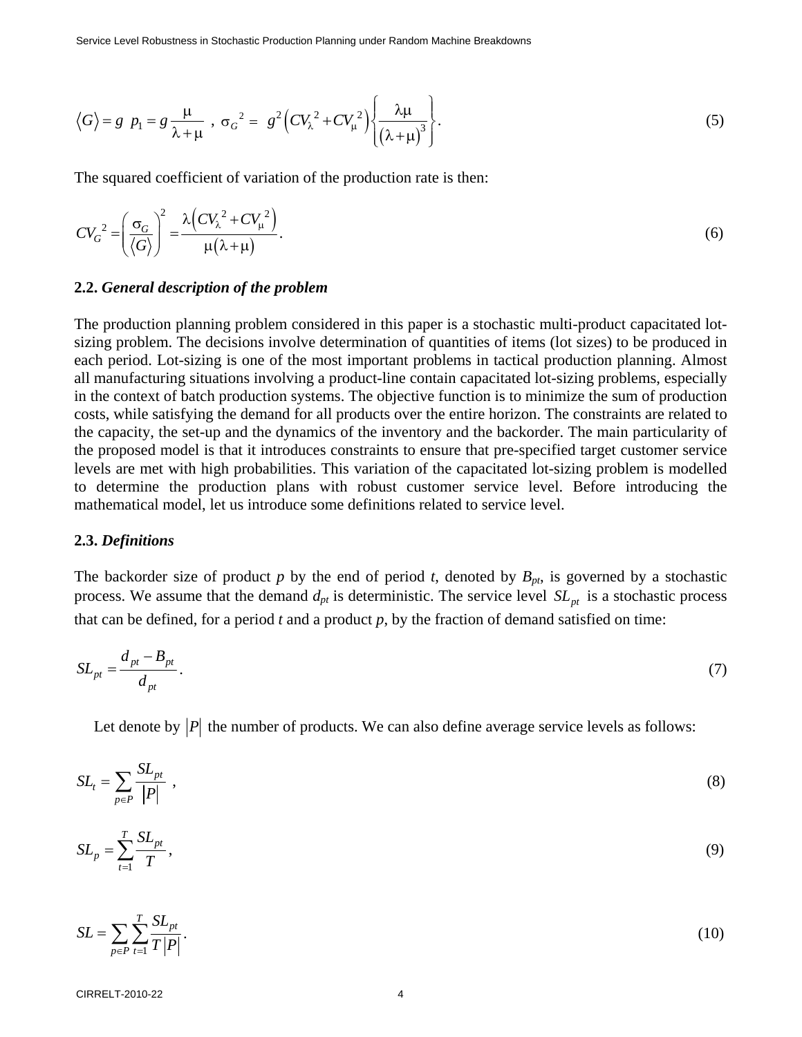$$
\langle G \rangle = g \, p_1 = g \frac{\mu}{\lambda + \mu} \, , \, \sigma_G^2 = g^2 \Big( C V_\lambda^2 + C V_\mu^2 \Big) \Bigg\{ \frac{\lambda \mu}{\left( \lambda + \mu \right)^3} \Bigg\} . \tag{5}
$$

The squared coefficient of variation of the production rate is then:

$$
CV_G^2 = \left(\frac{\sigma_G}{\langle G \rangle}\right)^2 = \frac{\lambda \left(CV_\lambda^2 + CV_\mu^2\right)}{\mu(\lambda + \mu)}.
$$
\n<sup>(6)</sup>

#### **2.2.** *General description of the problem*

The production planning problem considered in this paper is a stochastic multi-product capacitated lotsizing problem. The decisions involve determination of quantities of items (lot sizes) to be produced in each period. Lot-sizing is one of the most important problems in tactical production planning. Almost all manufacturing situations involving a product-line contain capacitated lot-sizing problems, especially in the context of batch production systems. The objective function is to minimize the sum of production costs, while satisfying the demand for all products over the entire horizon. The constraints are related to the capacity, the set-up and the dynamics of the inventory and the backorder. The main particularity of the proposed model is that it introduces constraints to ensure that pre-specified target customer service levels are met with high probabilities. This variation of the capacitated lot-sizing problem is modelled to determine the production plans with robust customer service level. Before introducing the mathematical model, let us introduce some definitions related to service level.

#### **2.3.** *Definitions*

The backorder size of product  $p$  by the end of period  $t$ , denoted by  $B_{pt}$ , is governed by a stochastic process. We assume that the demand  $d_{pt}$  is deterministic. The service level  $SL_{pt}$  is a stochastic process that can be defined, for a period  $t$  and a product  $p$ , by the fraction of demand satisfied on time:

$$
SL_{pt} = \frac{d_{pt} - B_{pt}}{d_{pt}}.
$$
\n
$$
(7)
$$

Let denote by  $|P|$  the number of products. We can also define average service levels as follows:

$$
SL_t = \sum_{p \in P} \frac{SL_{pt}}{|P|} \tag{8}
$$

$$
SL_p = \sum_{t=1}^T \frac{SL_{pt}}{T},\tag{9}
$$

$$
SL = \sum_{p \in P} \sum_{t=1}^{T} \frac{SL_{pt}}{T|P|}.
$$
\n(10)

CIRRELT-2010-22 4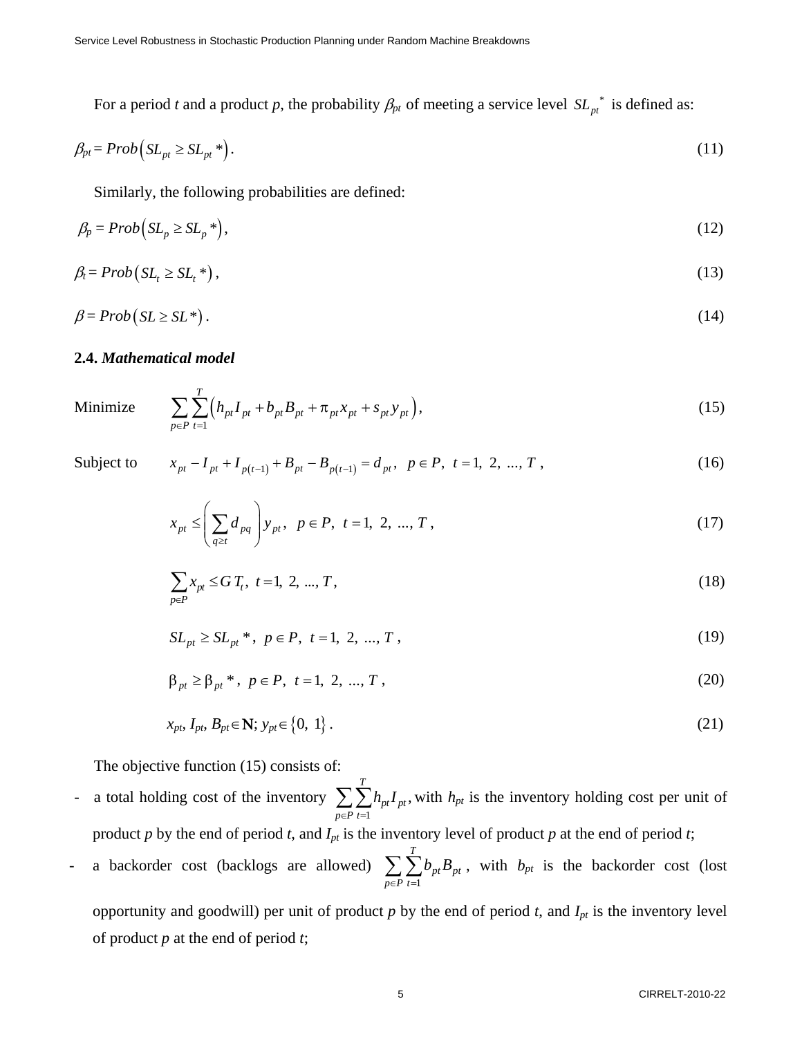For a period *t* and a product *p*, the probability  $\beta_{pt}$  of meeting a service level  $SL_{pt}^*$  is defined as:

$$
\beta_{pt} = Prob(SL_{pt} \ge SL_{pt}^*) \tag{11}
$$

Similarly, the following probabilities are defined:

$$
\beta_p = Prob(SL_p \ge SL_p^*)\tag{12}
$$

$$
\beta_t = Prob(SL_t \ge SL_t^*)\,,\tag{13}
$$

$$
\beta = Prob(SL \ge SL^*)\,. \tag{14}
$$

#### **2.4.** *Mathematical model*

Minimize 
$$
\sum_{p \in P} \sum_{t=1}^{T} \left( h_{pt} I_{pt} + b_{pt} B_{pt} + \pi_{pt} x_{pt} + s_{pt} y_{pt} \right),
$$
 (15)

Subject to 
$$
x_{pt} - I_{pt} + I_{p(t-1)} + B_{pt} - B_{p(t-1)} = d_{pt}, \ p \in P, t = 1, 2, ..., T,
$$
 (16)

$$
x_{pt} \le \left(\sum_{q\ge t} d_{pq}\right) y_{pt}, \ \ p \in P, \ t = 1, 2, ..., T,
$$
 (17)

$$
\sum_{p \in P} x_{pt} \le G \, T_t, \ t = 1, \ 2, \ \dots, \ T,
$$
\n(18)

$$
SL_{pt} \ge SL_{pt}^* \; ; \; p \in P, \; t = 1, \; 2, \; \dots, \; T \; , \tag{19}
$$

$$
\beta_{pt} \ge \beta_{pt}^* , \ p \in P, \ t = 1, 2, ..., T,
$$
\n(20)

$$
x_{pt}, I_{pt}, B_{pt} \in \mathbf{N}; y_{pt} \in \{0, 1\}.
$$

The objective function (15) consists of:

- a total holding cost of the inventory 1 , *T*  $pt^{\mathbf{I}}$  pt  $p \in P$  t  $h_{nt}$ *I*  $\sum_{p \in P} \sum_{t=1} h_{pt} I_{pt}$ , with  $h_{pt}$  is the inventory holding cost per unit of product  $p$  by the end of period  $t$ , and  $I_{pt}$  is the inventory level of product  $p$  at the end of period  $t$ ;
- a backorder cost (backlogs are allowed) 1 *T*  $_{pt}\bm{\nu}_{pt}$  $p \in P$  t  $b_{nt}B$  $\sum_{p \in P} \sum_{t=1} b_{pt} B_{pt}$ , with  $b_{pt}$  is the backorder cost (lost

opportunity and goodwill) per unit of product  $p$  by the end of period  $t$ , and  $I_{pt}$  is the inventory level of product *p* at the end of period *t*;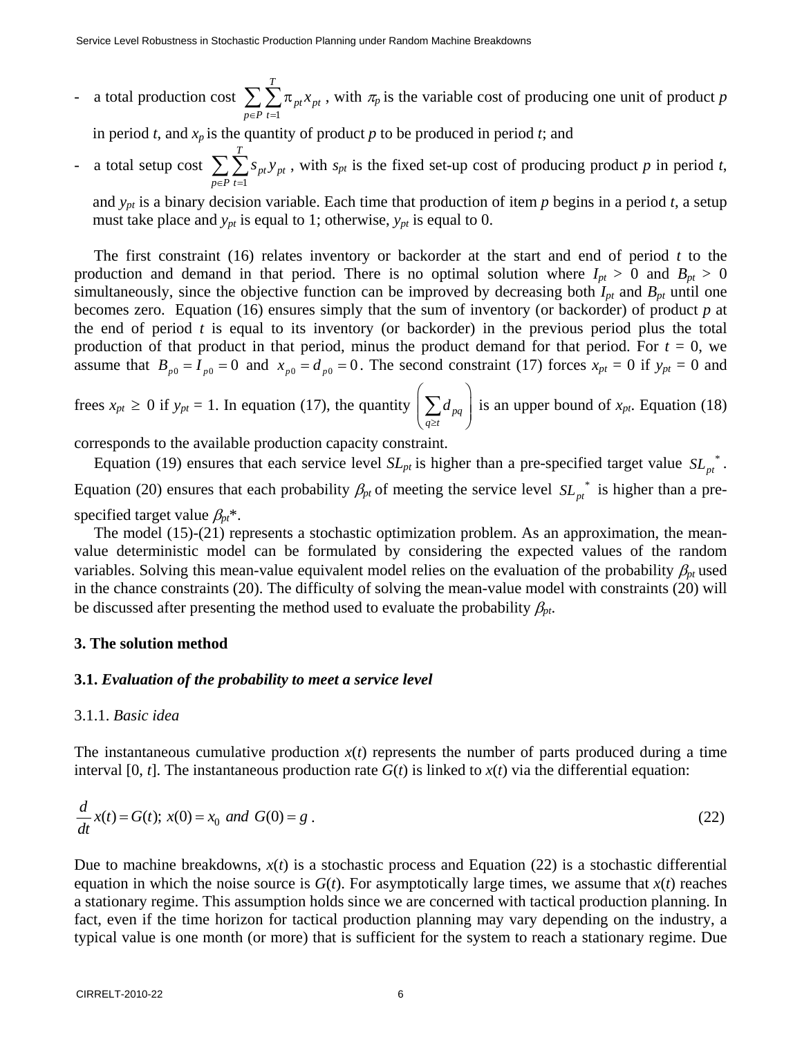- a total production cost 1 *T*  $pt$ <sup> $\lambda$ </sup>pt  $p \in P$  t *x*  $\sum_{p \in P} \sum_{t=1} \pi_{pt} x_{pt}$ , with  $\pi_p$  is the variable cost of producing one unit of product *p* 

in period  $t$ , and  $x_p$  is the quantity of product  $p$  to be produced in period  $t$ ; and

- a total setup cost 1 *T pt pt*  $p \in P$  t *s y*  $\sum_{p \in P} \sum_{t=1} s_{pt} y_{pt}$ , with  $s_{pt}$  is the fixed set-up cost of producing product *p* in period *t*,

and *ypt* is a binary decision variable. Each time that production of item *p* begins in a period *t*, a setup must take place and  $y_{pt}$  is equal to 1; otherwise,  $y_{pt}$  is equal to 0.

The first constraint (16) relates inventory or backorder at the start and end of period *t* to the production and demand in that period. There is no optimal solution where  $I_{pt} > 0$  and  $B_{pt} > 0$ simultaneously, since the objective function can be improved by decreasing both  $I_{pt}$  and  $B_{pt}$  until one becomes zero. Equation (16) ensures simply that the sum of inventory (or backorder) of product *p* at the end of period *t* is equal to its inventory (or backorder) in the previous period plus the total production of that product in that period, minus the product demand for that period. For  $t = 0$ , we assume that  $B_{p0} = I_{p0} = 0$  and  $x_{p0} = d_{p0} = 0$ . The second constraint (17) forces  $x_{pt} = 0$  if  $y_{pt} = 0$  and

frees  $x_{pt} \ge 0$  if  $y_{pt} = 1$ . In equation (17), the quantity  $\left(\sum_{q \geq t} d_{\textit{pq}}\right)$  $d_{pa}$  is an upper bound of  $x_{pt}$ . Equation (18)

corresponds to the available production capacity constraint.

Equation (19) ensures that each service level  $SL_{pt}$  is higher than a pre-specified target value  $SL_{pt}^*$ .

Equation (20) ensures that each probability  $\beta_{pt}$  of meeting the service level  $SL_{pt}^{*}$  is higher than a prespecified target value β*pt*\*.

The model (15)-(21) represents a stochastic optimization problem. As an approximation, the meanvalue deterministic model can be formulated by considering the expected values of the random variables. Solving this mean-value equivalent model relies on the evaluation of the probability  $\beta_{pt}$  used in the chance constraints (20). The difficulty of solving the mean-value model with constraints (20) will be discussed after presenting the method used to evaluate the probability  $\beta_{pt}$ .

# **3. The solution method**

#### **3.1.** *Evaluation of the probability to meet a service level*

#### 3.1.1. *Basic idea*

The instantaneous cumulative production  $x(t)$  represents the number of parts produced during a time interval [0,  $t$ ]. The instantaneous production rate  $G(t)$  is linked to  $x(t)$  via the differential equation:

$$
\frac{d}{dt}x(t) = G(t); x(0) = x_0 \text{ and } G(0) = g.
$$
\n(22)

Due to machine breakdowns,  $x(t)$  is a stochastic process and Equation (22) is a stochastic differential equation in which the noise source is  $G(t)$ . For asymptotically large times, we assume that  $x(t)$  reaches a stationary regime. This assumption holds since we are concerned with tactical production planning. In fact, even if the time horizon for tactical production planning may vary depending on the industry, a typical value is one month (or more) that is sufficient for the system to reach a stationary regime. Due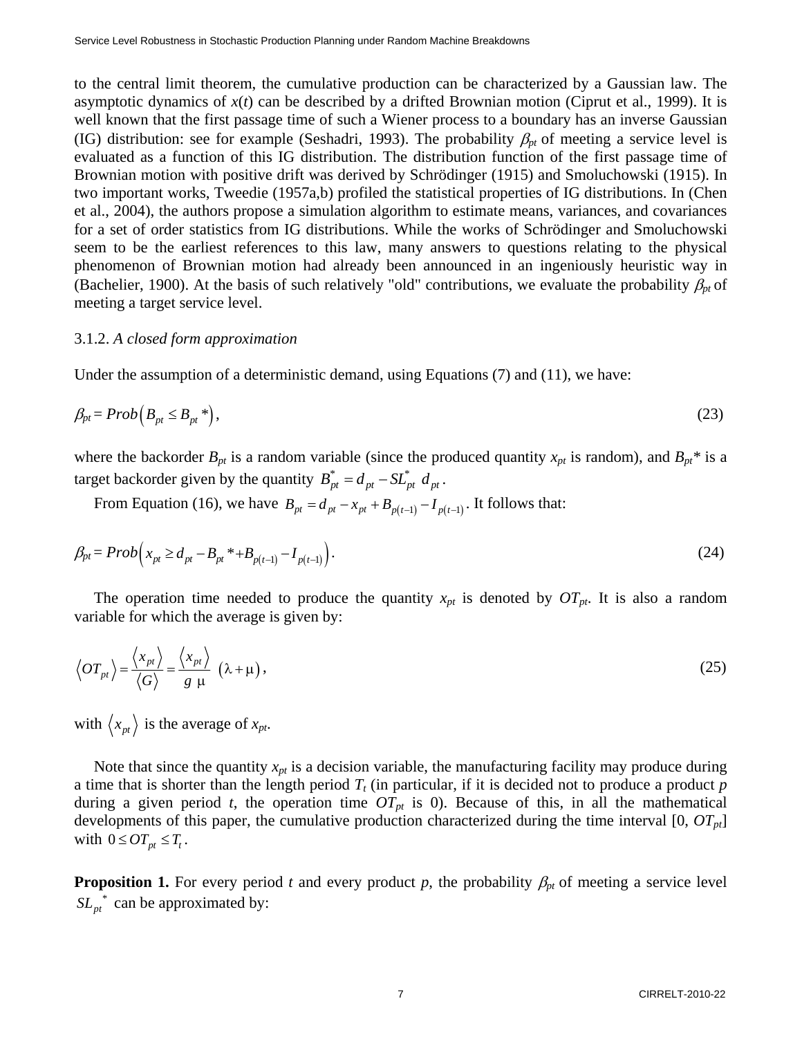to the central limit theorem, the cumulative production can be characterized by a Gaussian law. The asymptotic dynamics of  $x(t)$  can be described by a drifted Brownian motion (Ciprut et al., 1999). It is well known that the first passage time of such a Wiener process to a boundary has an inverse Gaussian (IG) distribution: see for example (Seshadri, 1993). The probability  $\beta_{pt}$  of meeting a service level is evaluated as a function of this IG distribution. The distribution function of the first passage time of Brownian motion with positive drift was derived by Schrödinger (1915) and Smoluchowski (1915). In two important works, Tweedie (1957a,b) profiled the statistical properties of IG distributions. In (Chen et al., 2004), the authors propose a simulation algorithm to estimate means, variances, and covariances for a set of order statistics from IG distributions. While the works of Schrödinger and Smoluchowski seem to be the earliest references to this law, many answers to questions relating to the physical phenomenon of Brownian motion had already been announced in an ingeniously heuristic way in (Bachelier, 1900). At the basis of such relatively "old" contributions, we evaluate the probability  $\beta_{pt}$  of meeting a target service level.

# 3.1.2. *A closed form approximation*

Under the assumption of a deterministic demand, using Equations (7) and (11), we have:

$$
\beta_{pt} = Prob\left(B_{pt} \le B_{pt}^*\right),\tag{23}
$$

where the backorder  $B_{pt}$  is a random variable (since the produced quantity  $x_{pt}$  is random), and  $B_{pt}$ <sup>\*</sup> is a target backorder given by the quantity  $B_{pt}^* = d_{pt} - SL_{pt}^* d_{pt}$ .

From Equation (16), we have  $B_{pt} = d_{pt} - x_{pt} + B_{p(t-1)} - I_{p(t-1)}$ . It follows that:

$$
\beta_{pt} = Prob\Big(x_{pt} \ge d_{pt} - B_{pt} * + B_{p(t-1)} - I_{p(t-1)}\Big). \tag{24}
$$

The operation time needed to produce the quantity  $x_{pt}$  is denoted by  $OT_{pt}$ . It is also a random variable for which the average is given by:

$$
\left\langle OT_{pt}\right\rangle = \frac{\left\langle x_{pt}\right\rangle}{\left\langle G\right\rangle} = \frac{\left\langle x_{pt}\right\rangle}{g \mu} \left(\lambda + \mu\right),\tag{25}
$$

with  $\langle x_{pt} \rangle$  is the average of  $x_{pt}$ .

Note that since the quantity  $x_{pt}$  is a decision variable, the manufacturing facility may produce during a time that is shorter than the length period  $T_t$  (in particular, if it is decided not to produce a product  $p$ during a given period *t*, the operation time  $OT_{pt}$  is 0). Because of this, in all the mathematical developments of this paper, the cumulative production characterized during the time interval  $[0, OT_{pt}]$ with  $0 \leq OT_{pt} \leq T_t$ .

**Proposition 1.** For every period *t* and every product *p*, the probability  $\beta_{pt}$  of meeting a service level  $SL_{nt}^*$  can be approximated by: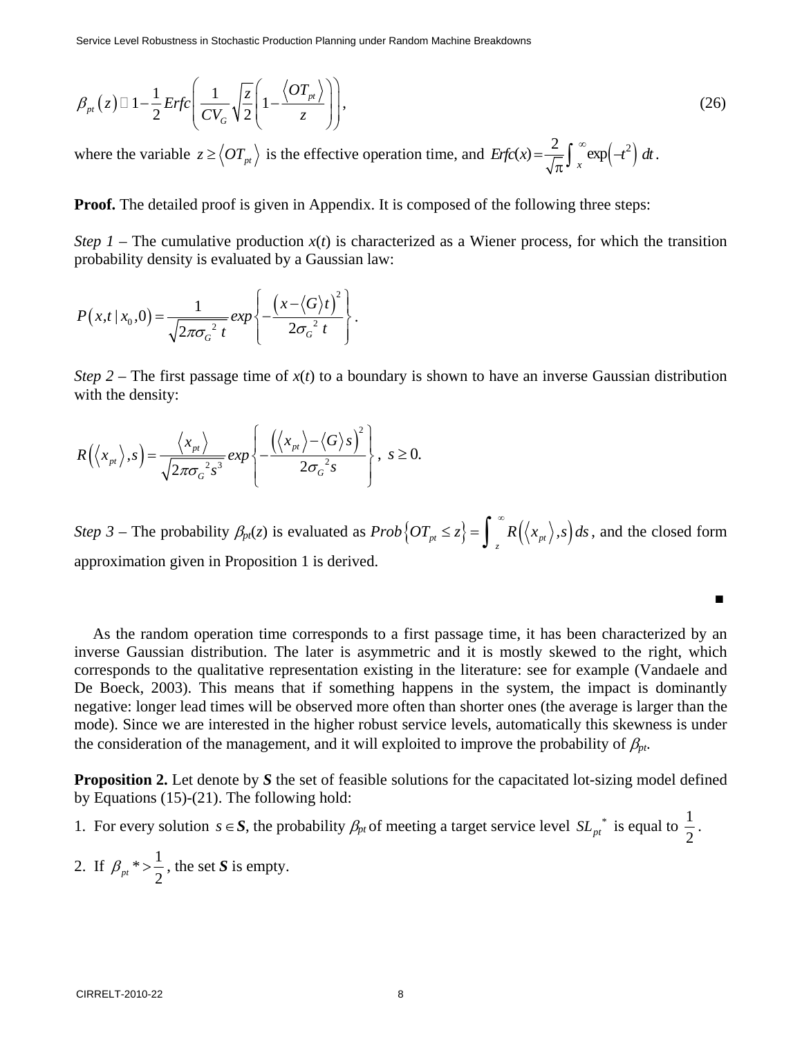Service Level Robustness in Stochastic Production Planning under Random Machine Breakdowns

$$
\beta_{pt}(z) \Box 1 - \frac{1}{2} Erfc\left(\frac{1}{CV_G}\sqrt{\frac{z}{2}}\left(1 - \frac{\langle OT_{pt}\rangle}{z}\right)\right),\tag{26}
$$

where the variable  $z \geq \langle OT_{pt} \rangle$  is the effective operation time, and  $Erfc(x) = \frac{2}{\sqrt{\pi}} \int_{x}^{\infty} \exp(-t^2) dt$ .

**Proof.** The detailed proof is given in Appendix. It is composed of the following three steps:

*Step 1* – The cumulative production  $x(t)$  is characterized as a Wiener process, for which the transition probability density is evaluated by a Gaussian law:

$$
P(x,t/x_0,0) = \frac{1}{\sqrt{2\pi\sigma_G^2 t}} exp\left\{-\frac{\left(x-\langle G\rangle t\right)^2}{2\sigma_G^2 t}\right\}.
$$

*Step 2* – The first passage time of  $x(t)$  to a boundary is shown to have an inverse Gaussian distribution with the density:

$$
R(\langle x_{pt} \rangle, s) = \frac{\langle x_{pt} \rangle}{\sqrt{2\pi \sigma_G^2 s^3}} exp\left\{-\frac{(\langle x_{pt} \rangle - \langle G \rangle s)^2}{2\sigma_G^2 s}\right\}, \ s \ge 0.
$$

*Step 3* – The probability  $\beta_{pt}(z)$  is evaluated as  $Prob\left\{OT_{pt} \leq z\right\} = \int_{z} R\left(\langle x_{pt}\rangle, s\right) ds$  $\leq z \bigg\} = \int_{z}^{\infty} R(\langle x_{pt} \rangle, s) ds$ , and the closed form approximation given in Proposition 1 is derived.

■

As the random operation time corresponds to a first passage time, it has been characterized by an inverse Gaussian distribution. The later is asymmetric and it is mostly skewed to the right, which corresponds to the qualitative representation existing in the literature: see for example (Vandaele and De Boeck, 2003). This means that if something happens in the system, the impact is dominantly negative: longer lead times will be observed more often than shorter ones (the average is larger than the mode). Since we are interested in the higher robust service levels, automatically this skewness is under the consideration of the management, and it will exploited to improve the probability of  $\beta_{pt}$ .

**Proposition 2.** Let denote by *S* the set of feasible solutions for the capacitated lot-sizing model defined by Equations (15)-(21). The following hold:

- 1. For every solution *s* ∈ *S*, the probability  $\beta_{pt}$  of meeting a target service level  $SL_{pt}^*$  is equal to  $\frac{1}{2}$ .
- 2. If  $\beta_{pt}$   $\neq$  >  $\frac{1}{2}$ 2 , the set *S* is empty.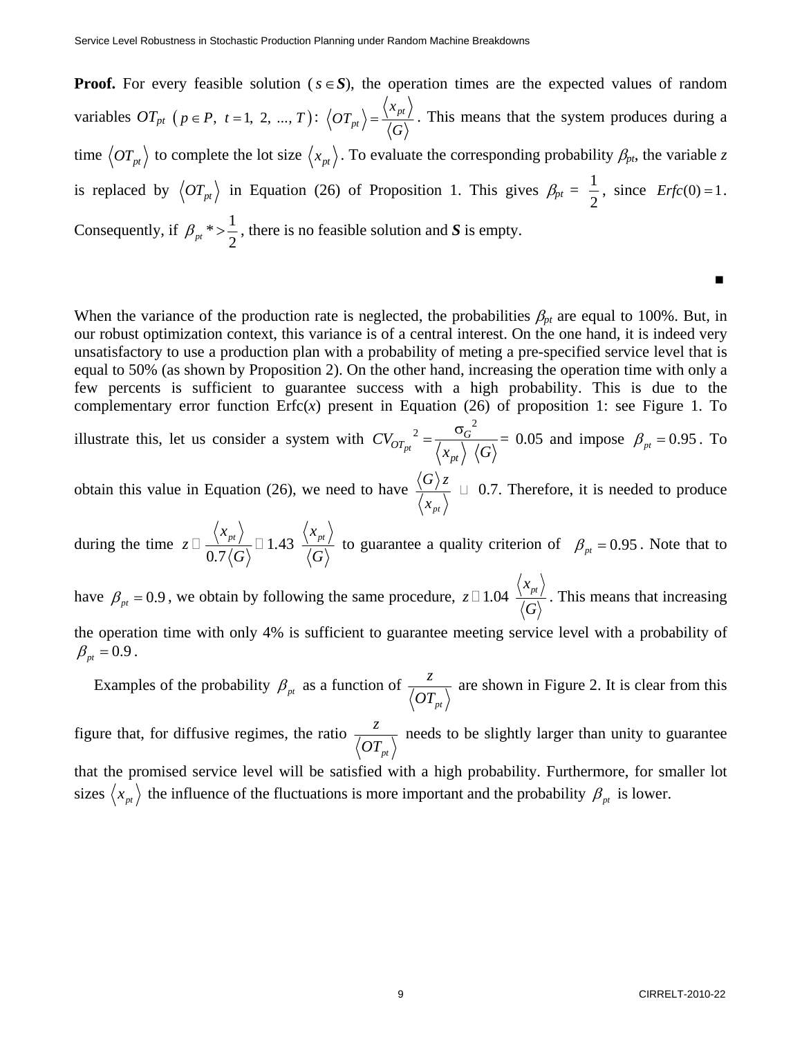**Proof.** For every feasible solution ( $s \in S$ ), the operation times are the expected values of random variables  $OT_{pt}$  ( $p \in P$ ,  $t = 1, 2, ..., T$ ):  $\left\langle OT_{pt}\right\rangle = \frac{\left\langle NP\right\rangle}{\sqrt{C}}$ *x*  $OT_{pt}$  =  $\frac{\langle x_{pt} \rangle}{\langle G \rangle}$ . This means that the system produces during a time  $\langle OT_{pt}\rangle$  to complete the lot size  $\langle x_{pt}\rangle$ . To evaluate the corresponding probability  $\beta_{pt}$ , the variable *z* is replaced by  $\langle OT_{pt}\rangle$  in Equation (26) of Proposition 1. This gives  $\beta_{pt} = \frac{1}{2}$ 2 , since  $Erfc(0) = 1$ . Consequently, if  $\beta_{pt} \rightarrow \frac{1}{2}$ 2 , there is no feasible solution and *S* is empty.

When the variance of the production rate is neglected, the probabilities  $\beta_{pt}$  are equal to 100%. But, in our robust optimization context, this variance is of a central interest. On the one hand, it is indeed very unsatisfactory to use a production plan with a probability of meting a pre-specified service level that is equal to 50% (as shown by Proposition 2). On the other hand, increasing the operation time with only a few percents is sufficient to guarantee success with a high probability. This is due to the complementary error function  $Erfc(x)$  present in Equation (26) of proposition 1: see Figure 1. To

■

illustrate this, let us consider a system with 2  $\sigma_G^2$ *pt*  $\int_{OT_{nt}}^{T} 2 = \frac{G}{\sqrt{G}}$ *pt CV*  $x_{nt} \rangle$   $\langle G \rangle$  $=\frac{\sigma_G^2}{\sqrt{1-\frac{1}{2}}}=0.05$  and impose  $\beta_{pt}=0.95$ . To

obtain this value in Equation (26), we need to have *pt*  $G \rangle z$ *x*  $\Box$  0.7. Therefore, it is needed to produce

during the time  $z \Box \frac{\Lambda^{p} l}{2 \pi I \pi \lambda} \Box 1.43$  $0.7$  $\langle x_{pt} \rangle$   $\langle x_{pt} \rangle$  $z \Box \frac{\sqrt{p}i}{z - i} \Box 1.$  $\Box \frac{\sqrt{p}I}{0.7\langle G \rangle}$   $\Box$  1.43  $\frac{\sqrt{p}I}{\langle G \rangle}$  to guarantee a quality criterion of  $\beta_{pt} = 0.95$ . Note that to have  $\beta_{pt} = 0.9$ , we obtain by following the same procedure,  $z \Box 1.04 \frac{\langle x_{pt} \rangle}{\sqrt{C}}$  $\Box$  1.04  $\frac{\sqrt{p_l}}{\langle G \rangle}$ . This means that increasing the operation time with only 4% is sufficient to guarantee meeting service level with a probability of

 $\beta_{pt} = 0.9$ .

Examples of the probability  $\beta_{pt}$  as a function of *pt*  $\frac{z}{\sqrt{OT_{nt}}}$  are shown in Figure 2. It is clear from this figure that, for diffusive regimes, the ratio  $\frac{z}{\sqrt{OT_{nt}}}$  needs to be slightly larger than unity to guarantee

that the promised service level will be satisfied with a high probability. Furthermore, for smaller lot sizes  $\langle x_{pt} \rangle$  the influence of the fluctuations is more important and the probability  $\beta_{pt}$  is lower.

*pt*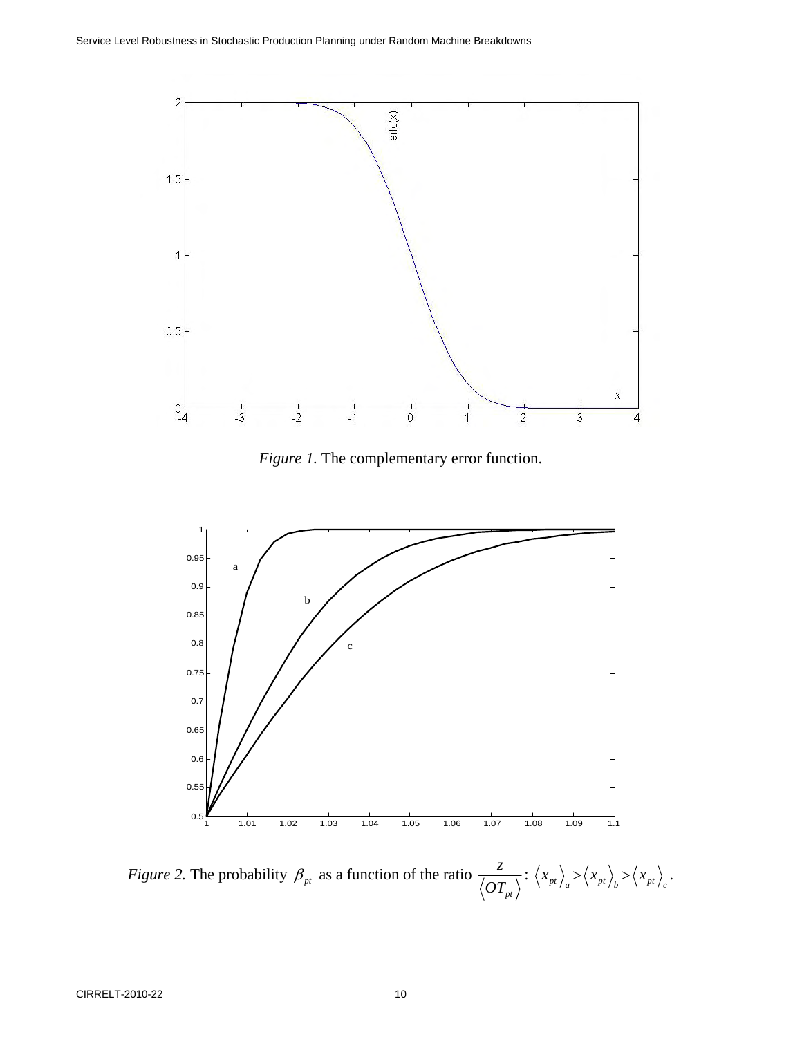

*Figure 1.* The complementary error function.



*Figure 2.* The probability  $\beta_{pt}$  as a function of the ratio *pt z*  $\frac{1}{\sqrt{OT_{nt}}}$ :  $\langle x_{pt} \rangle_a > \langle x_{pt} \rangle_b > \langle x_{pt} \rangle_c$ .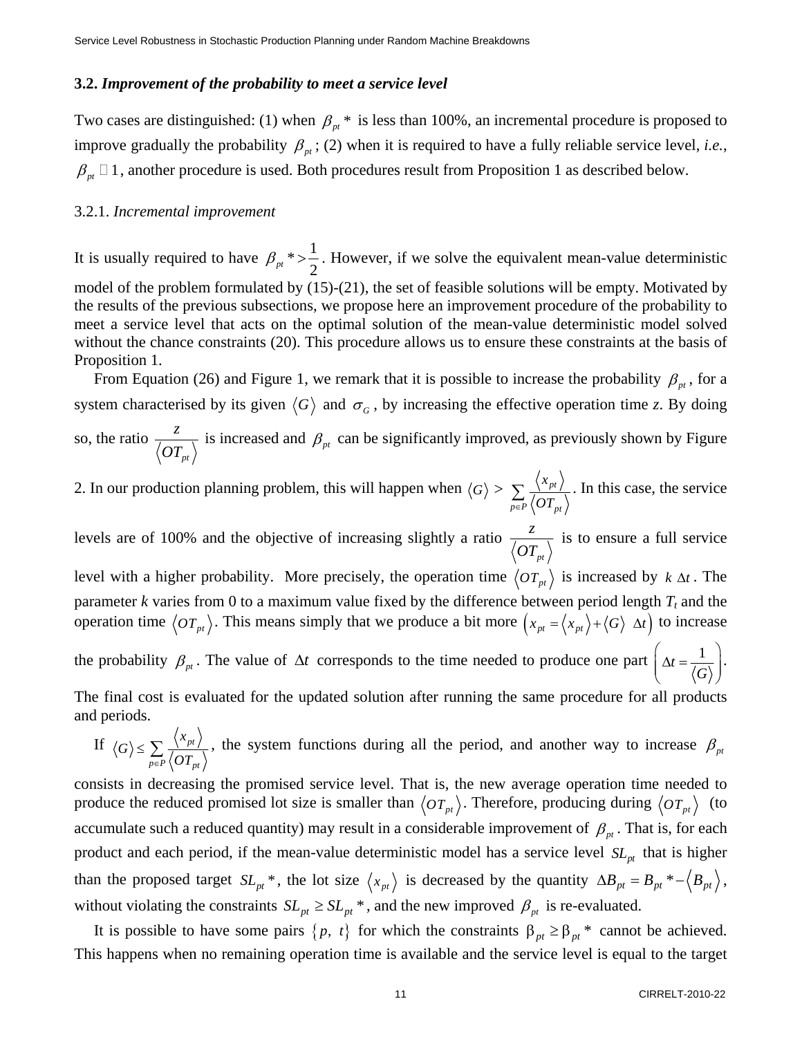#### **3.2.** *Improvement of the probability to meet a service level*

Two cases are distinguished: (1) when  $\beta_{nt}$  \* is less than 100%, an incremental procedure is proposed to improve gradually the probability  $\beta_{pt}$ ; (2) when it is required to have a fully reliable service level, *i.e.*,  $\beta_{nt} \Box$  1, another procedure is used. Both procedures result from Proposition 1 as described below.

#### 3.2.1. *Incremental improvement*

It is usually required to have  $\beta_{pt} \rightarrow \frac{1}{2}$ 2 . However, if we solve the equivalent mean-value deterministic model of the problem formulated by (15)-(21), the set of feasible solutions will be empty. Motivated by the results of the previous subsections, we propose here an improvement procedure of the probability to meet a service level that acts on the optimal solution of the mean-value deterministic model solved without the chance constraints (20). This procedure allows us to ensure these constraints at the basis of Proposition 1.

From Equation (26) and Figure 1, we remark that it is possible to increase the probability  $\beta_{pt}$ , for a system characterised by its given  $\langle G \rangle$  and  $\sigma_G$ , by increasing the effective operation time *z*. By doing so, the ratio *pt z OT* is increased and  $\beta_{pt}$  can be significantly improved, as previously shown by Figure

2. In our production planning problem, this will happen when  $\langle G \rangle > \sum_{i=1}^{\infty} \frac{\langle A_{pt} \rangle}{\langle A_{pt} \rangle}$  $_{p\in P}\left\langle \mathbf{\textit{UI}}_{\textit{pt}}\right\rangle$  $\sum_{p \in P} \frac{\langle x_{pt} \rangle}{\langle \overline{OT}_{pt} \rangle}$ . In this case, the service

levels are of 100% and the objective of increasing slightly a ratio *pt z OT* is to ensure a full service level with a higher probability. More precisely, the operation time  $\langle OT_{pt}\rangle$  is increased by  $k \Delta t$ . The parameter  $k$  varies from 0 to a maximum value fixed by the difference between period length  $T_t$  and the operation time  $\langle OT_{pt}\rangle$ . This means simply that we produce a bit more  $(x_{pt} = \langle x_{pt} \rangle + \langle G \rangle \Delta t)$  to increase the probability  $\beta_{pt}$ . The value of  $\Delta t$  corresponds to the time needed to produce one part  $\Delta t = \frac{1}{\sqrt{2\pi}}$  $\left(\Delta t = \frac{1}{\langle G \rangle}\right)$  $(\gamma \circ \mathbf{G})$ .

The final cost is evaluated for the updated solution after running the same procedure for all products and periods. *x*  $\lambda$ 

If 
$$
\langle G \rangle \le \sum_{p \in P} \frac{\langle x_{pt} \rangle}{\langle OT_{pt} \rangle}
$$
, the system functions during all the period, and another way to increase  $\beta_{pt}$ 

consists in decreasing the promised service level. That is, the new average operation time needed to produce the reduced promised lot size is smaller than  $\langle OT_{pt}\rangle$ . Therefore, producing during  $\langle OT_{pt}\rangle$  (to accumulate such a reduced quantity) may result in a considerable improvement of  $\beta_{nt}$ . That is, for each product and each period, if the mean-value deterministic model has a service level  $SL<sub>nt</sub>$  that is higher than the proposed target  $SL_{pt}$ <sup>\*</sup>, the lot size  $\langle x_{pt} \rangle$  is decreased by the quantity  $\Delta B_{pt} = B_{pt}^* - \langle B_{pt} \rangle$ , without violating the constraints  $SL_{pt} \ge SL_{pt}^*$ , and the new improved  $\beta_{pt}$  is re-evaluated.

It is possible to have some pairs  $\{p, t\}$  for which the constraints  $\beta_{pt} \ge \beta_{pt}^*$  cannot be achieved. This happens when no remaining operation time is available and the service level is equal to the target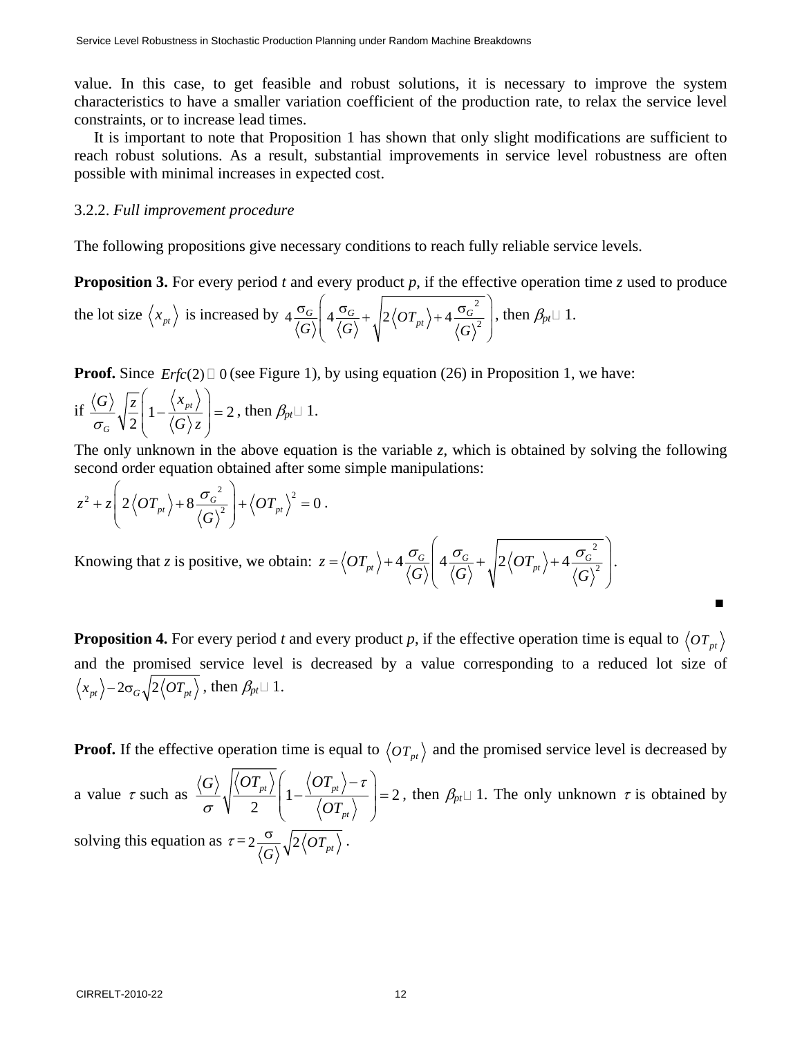value. In this case, to get feasible and robust solutions, it is necessary to improve the system characteristics to have a smaller variation coefficient of the production rate, to relax the service level constraints, or to increase lead times.

It is important to note that Proposition 1 has shown that only slight modifications are sufficient to reach robust solutions. As a result, substantial improvements in service level robustness are often possible with minimal increases in expected cost.

# 3.2.2. *Full improvement procedure*

The following propositions give necessary conditions to reach fully reliable service levels.

**Proposition 3.** For every period *t* and every product *p*, if the effective operation time *z* used to produce the lot size  $\langle x_{pt} \rangle$  is increased by  $4 \frac{\sigma_G}{\langle G \rangle} \left( 4 \frac{\sigma_G}{\langle G \rangle} + \sqrt{2 \langle OT_{pt} \rangle + 4 \frac{\sigma_G^2}{\langle G \rangle^2}} \right)$  $\sigma_G \left( 4 \frac{\sigma_G}{\sqrt{2}} + \sqrt{2 \langle O T_{nt} \rangle + 4 \frac{\sigma_G^2}{\sqrt{2}} } \right)$  $( \vee ) \vee ( \vee )$ , then  $\beta_{pt} \sqcup 1$ .

**Proof.** Since  $Erfc(2) \square 0$  (see Figure 1), by using equation (26) in Proposition 1, we have:

if 
$$
\frac{\langle G \rangle}{\sigma_G} \sqrt{\frac{z}{2}} \left( 1 - \frac{\langle x_{pt} \rangle}{\langle G \rangle z} \right) = 2
$$
, then  $\beta_{pt} \sqcup 1$ .

The only unknown in the above equation is the variable *z*, which is obtained by solving the following second order equation obtained after some simple manipulations:

$$
z^{2}+z\left(2\left\langle OT_{pt}\right\rangle +8\frac{\sigma_{G}^{2}}{\left\langle G\right\rangle ^{2}}\right)+\left\langle OT_{pt}\right\rangle ^{2}=0.
$$

Knowing that *z* is positive, we obtain: 2  $z = \left\langle OT_{pt}\right\rangle + 4\frac{\sigma_G}{\left\langle CY\right\rangle}4\frac{\sigma_G}{\left\langle CY\right\rangle} + \sqrt{2\left\langle OT_{pt}\right\rangle} + 4\frac{\sigma_G}{\left\langle CY\right\rangle^2}$ *G G G*  $\left( \begin{array}{ccc} \pi & \left[ \begin{array}{ccc} \frac{\pi}{2} \end{array} \right] \end{array} \right)$  $=\langle OT_{nt}\rangle + 4\frac{\partial G}{\langle A_{nt}\rangle} + 4\frac{\partial G}{\langle A_{nt}\rangle} + 2\langle OT_{nt}\rangle + 4\frac{\partial G}{\langle A_{nt}\rangle}$ ⎝ ⎠  $\frac{\sigma_{G}}{\sigma_{C}}$  4  $\frac{\sigma_{G}}{\sigma_{C}}$  +  $\left|2\langle OT_{nt}\rangle+4\frac{\sigma_{G}}{\sigma_{C}}\right|$ . ■

**Proposition 4.** For every period *t* and every product *p*, if the effective operation time is equal to  $\langle OT_{nt}\rangle$ and the promised service level is decreased by a value corresponding to a reduced lot size of  $\langle x_{pt} \rangle - 2\sigma_G \sqrt{2 \langle OT_{pt} \rangle}$ , then  $\beta_{pt} \sqcup 1$ .

**Proof.** If the effective operation time is equal to  $\langle OT_{pt}\rangle$  and the promised service level is decreased by a value  $\tau$  such as  $\frac{1}{2}$   $\sqrt{\frac{p}{2}}$   $1-\frac{p}{2}$   $\sqrt{\frac{p}{2}}$   $= 2$ 2  $pt$  |  $\sqrt{U}$  *pt pt*  $G\rangle$   $|\langle OT_{pt}\rangle|$   $\langle OT_{gt}\rangle$ *OT*  $\left(1-\frac{\left\langle OT_{pt}\right\rangle-\tau}{\sqrt{1-\frac{1}{2}}}\right)=$  $\left\langle \begin{array}{cc} U I_{pt} \end{array} \right\rangle$ τ  $\int_{\sigma}^{\infty} \sqrt{\frac{p^2}{2}}$   $\left(1 - \frac{\sqrt{p^2 + 4}}{\sqrt{OT}}\right)$  = 2, then  $\beta_{pt} \square$  1. The only unknown  $\tau$  is obtained by solving this equation as  $\tau = 2 \frac{\sigma}{\langle G \rangle} \sqrt{2 \langle O T_{pt} \rangle}$ .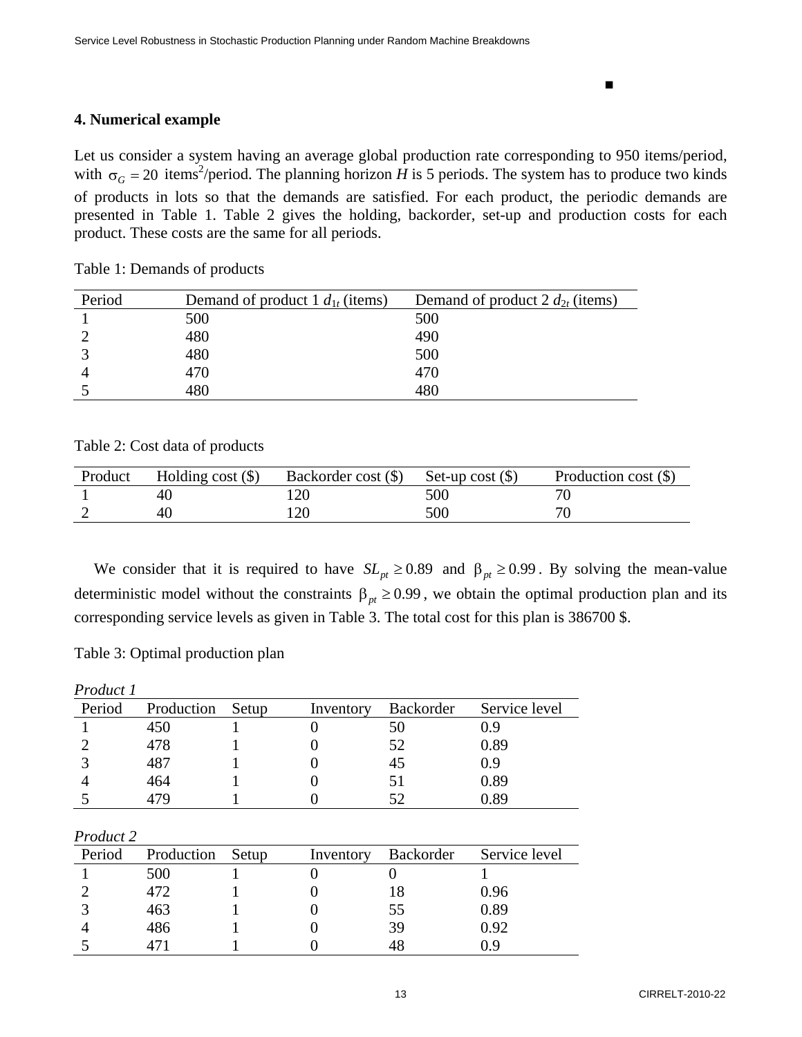■

# **4. Numerical example**

Let us consider a system having an average global production rate corresponding to 950 items/period, with  $\sigma_G = 20$  items<sup>2</sup>/period. The planning horizon *H* is 5 periods. The system has to produce two kinds of products in lots so that the demands are satisfied. For each product, the periodic demands are presented in Table 1. Table 2 gives the holding, backorder, set-up and production costs for each product. These costs are the same for all periods.

Table 1: Demands of products

| Period | Demand of product 1 $d_{1t}$ (items) | Demand of product 2 $d_{2t}$ (items) |
|--------|--------------------------------------|--------------------------------------|
|        | 500                                  | 500                                  |
|        | 480                                  | 490                                  |
|        | 480                                  | 500                                  |
|        | 470                                  | 470                                  |
|        | 480                                  | 480                                  |

Table 2: Cost data of products

| Product | Holding cost $(\$)$ | Backorder cost $(\$)$ Set-up cost $(\$)$ |     | Production cost $(\$)$ |
|---------|---------------------|------------------------------------------|-----|------------------------|
|         |                     |                                          | 500 |                        |
|         |                     |                                          | 500 |                        |

We consider that it is required to have  $SL_{pt} \ge 0.89$  and  $\beta_{pt} \ge 0.99$ . By solving the mean-value deterministic model without the constraints  $\beta_{pt} \ge 0.99$ , we obtain the optimal production plan and its corresponding service levels as given in Table 3. The total cost for this plan is 386700 \$.

Table 3: Optimal production plan

| Product 1 |            |       |           |                  |               |
|-----------|------------|-------|-----------|------------------|---------------|
| Period    | Production | Setup | Inventory | Backorder        | Service level |
|           | 450        |       | 0         | 50               | 0.9           |
|           | 478        |       |           | 52               | 0.89          |
|           | 487        |       |           | 45               | 0.9           |
|           | 464        |       |           | 51               | 0.89          |
| 5         | 479        |       |           | 52               | 0.89          |
| Product 2 |            |       |           |                  |               |
| Period    | Production | Setup | Inventory | <b>Backorder</b> | Service level |
|           | 500        |       |           |                  |               |
|           | 472        |       |           | 18               | 0.96          |
|           | 463        |       |           | 55               | 0.89          |
|           | 486        |       |           | 39               | 0.92          |
|           | 471        |       |           | 48               | 0.9           |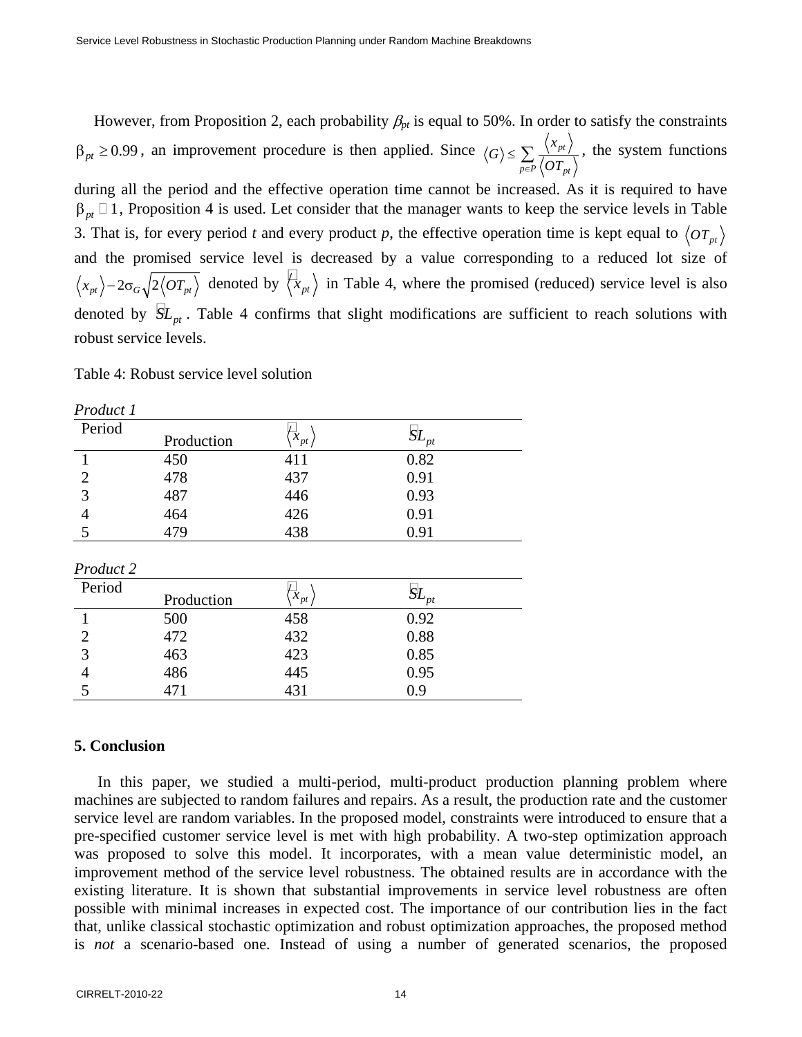However, from Proposition 2, each probability  $\beta_{pt}$  is equal to 50%. In order to satisfy the constraints  $\beta_{pt} \ge 0.99$ , an improvement procedure is then applied. Since  $\langle G \rangle \le \sum_{l=1}^{\lfloor N_p p \rfloor}$  $_{p\in P}\left\langle \mathcal{O}\mathcal{I}_{\textit{pt}}\right\rangle$ *x G*  $\leq \sum_{p \in P} \frac{\sqrt{\lambda p t}}{\langle O T_{nt} \rangle}$ , the system functions

during all the period and the effective operation time cannot be increased. As it is required to have  $\beta_{pt} \Box 1$ , Proposition 4 is used. Let consider that the manager wants to keep the service levels in Table 3. That is, for every period *t* and every product *p*, the effective operation time is kept equal to  $\langle OT_{pt}\rangle$ and the promised service level is decreased by a value corresponding to a reduced lot size of  $\langle x_{pt} \rangle - 2\sigma_G \sqrt{2 \langle \overline{OT_{pt}} \rangle}$  denoted by  $\langle x_{pt} \rangle$  in Table 4, where the promised (reduced) service level is also denoted by  $\overline{SL}_{pt}$ . Table 4 confirms that slight modifications are sufficient to reach solutions with robust service levels.

Table 4: Robust service level solution

| Product 1      |            |                             |           |  |
|----------------|------------|-----------------------------|-----------|--|
| Period         | Production | $\overrightarrow{x}_{pt}$ , | $SL_{pt}$ |  |
| $\mathbf{1}$   | 450        | 411                         | 0.82      |  |
| $\overline{2}$ | 478        | 437                         | 0.91      |  |
| 3              | 487        | 446                         | 0.93      |  |
| $\overline{4}$ | 464        | 426                         | 0.91      |  |
| 5              | 479        | 438                         | 0.91      |  |
| Product 2      |            |                             |           |  |
| Period         | Production | $\sigma_{pt}$ ,             | $SL_{pt}$ |  |
| $\mathbf{1}$   | 500        | 458                         | 0.92      |  |
| $\overline{2}$ | 472        | 432                         | 0.88      |  |
| 3              | 463        | 423                         | 0.85      |  |
| 4              | 486        | 445                         | 0.95      |  |
| 5              | 471        | 431                         | 0.9       |  |

#### **5. Conclusion**

In this paper, we studied a multi-period, multi-product production planning problem where machines are subjected to random failures and repairs. As a result, the production rate and the customer service level are random variables. In the proposed model, constraints were introduced to ensure that a pre-specified customer service level is met with high probability. A two-step optimization approach was proposed to solve this model. It incorporates, with a mean value deterministic model, an improvement method of the service level robustness. The obtained results are in accordance with the existing literature. It is shown that substantial improvements in service level robustness are often possible with minimal increases in expected cost. The importance of our contribution lies in the fact that, unlike classical stochastic optimization and robust optimization approaches, the proposed method is *not* a scenario-based one. Instead of using a number of generated scenarios, the proposed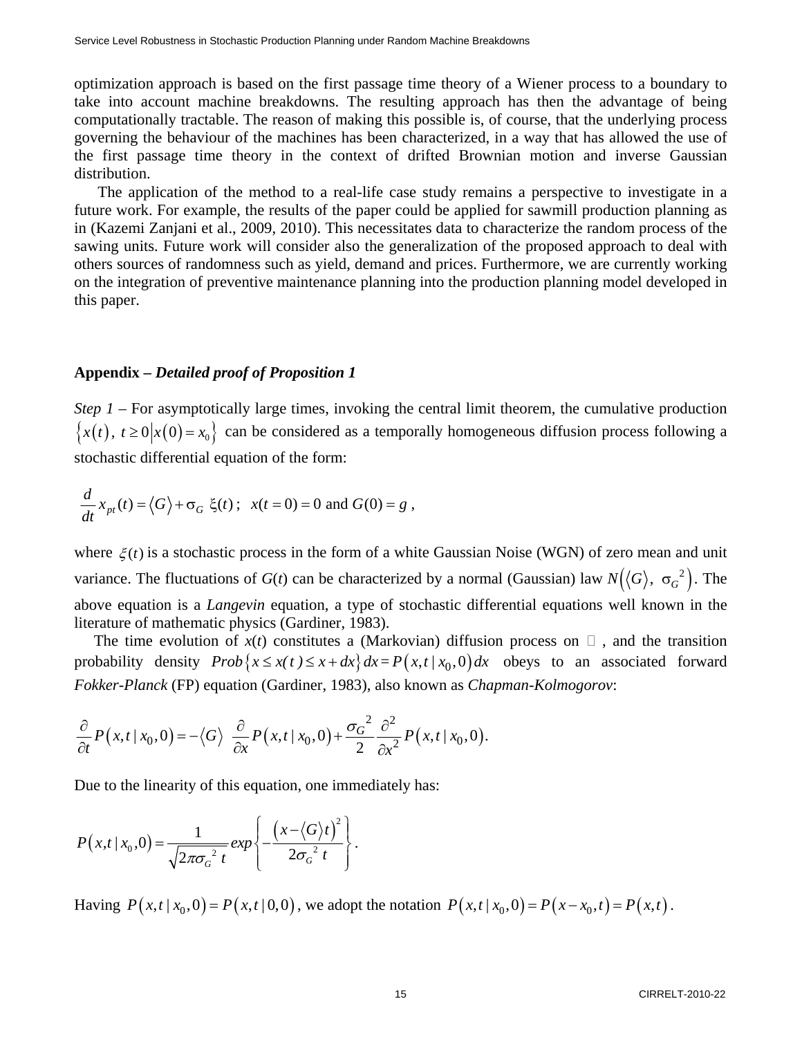optimization approach is based on the first passage time theory of a Wiener process to a boundary to take into account machine breakdowns. The resulting approach has then the advantage of being computationally tractable. The reason of making this possible is, of course, that the underlying process governing the behaviour of the machines has been characterized, in a way that has allowed the use of the first passage time theory in the context of drifted Brownian motion and inverse Gaussian distribution.

The application of the method to a real-life case study remains a perspective to investigate in a future work. For example, the results of the paper could be applied for sawmill production planning as in (Kazemi Zanjani et al., 2009, 2010). This necessitates data to characterize the random process of the sawing units. Future work will consider also the generalization of the proposed approach to deal with others sources of randomness such as yield, demand and prices. Furthermore, we are currently working on the integration of preventive maintenance planning into the production planning model developed in this paper.

# **Appendix –** *Detailed proof of Proposition 1*

*Step 1* – For asymptotically large times, invoking the central limit theorem, the cumulative production  ${x(t), t \ge 0 | x(0) = x_0}$  can be considered as a temporally homogeneous diffusion process following a stochastic differential equation of the form:

$$
\frac{d}{dt}x_{pt}(t) = \langle G \rangle + \sigma_G \xi(t) ; \ \ x(t=0) = 0 \text{ and } G(0) = g ,
$$

where  $\xi(t)$  is a stochastic process in the form of a white Gaussian Noise (WGN) of zero mean and unit variance. The fluctuations of *G*(*t*) can be characterized by a normal (Gaussian) law  $N(\langle G \rangle, \sigma_G^2)$ . The above equation is a *Langevin* equation, a type of stochastic differential equations well known in the literature of mathematic physics (Gardiner, 1983).

The time evolution of  $x(t)$  constitutes a (Markovian) diffusion process on  $\Box$ , and the transition probability density  $Prob\{x \le x(t) \le x + dx\} dx = P(x,t | x_0,0) dx$  obeys to an associated forward *Fokker-Planck* (FP) equation (Gardiner, 1983), also known as *Chapman-Kolmogorov*:

$$
\frac{\partial}{\partial t}P(x,t|x_0,0) = -\langle G \rangle \frac{\partial}{\partial x}P(x,t|x_0,0) + \frac{\sigma_G^2}{2} \frac{\partial^2}{\partial x^2}P(x,t|x_0,0).
$$

Due to the linearity of this equation, one immediately has:

$$
P(x,t/x_0,0) = \frac{1}{\sqrt{2\pi\sigma_G^2 t}} exp\left\{-\frac{\left(x-\langle G\rangle t\right)^2}{2\sigma_G^2 t}\right\}.
$$

Having  $P(x,t | x_0,0) = P(x,t | 0,0)$ , we adopt the notation  $P(x,t | x_0,0) = P(x-x_0,t) = P(x,t)$ .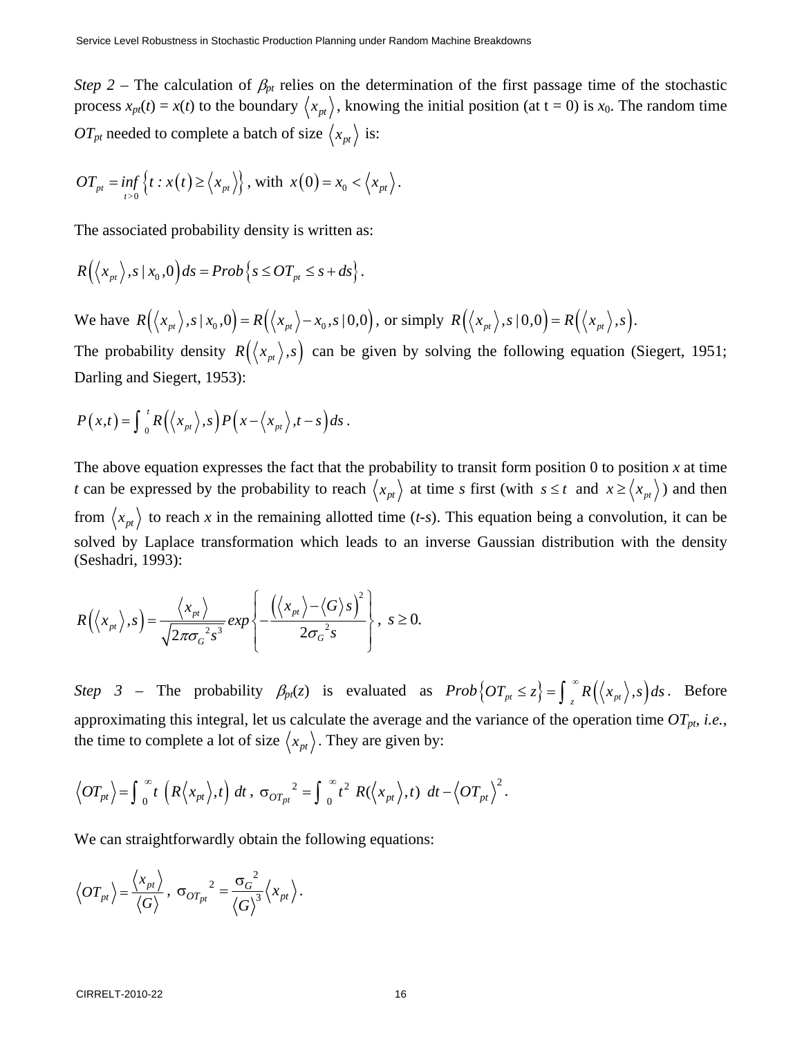*Step 2 – The calculation of*  $\beta_{pt}$  *relies on the determination of the first passage time of the stochastic* process  $x_{pt}(t) = x(t)$  to the boundary  $\langle x_{pt} \rangle$ , knowing the initial position (at t = 0) is  $x_0$ . The random time *OT<sub>pt</sub>* needed to complete a batch of size  $\langle x_{pt} \rangle$  is:

$$
OT_{pt} = \inf_{t>0} \left\{ t : x(t) \ge \langle x_{pt} \rangle \right\}, \text{ with } x(0) = x_0 < \langle x_{pt} \rangle.
$$

The associated probability density is written as:

$$
R(\langle x_{pt} \rangle, s \,|\, x_0, 0) ds = Prob\left\{s \leq OT_{pt} \leq s + ds\right\}.
$$

We have  $R(\langle x_{pt} \rangle, s/x_0, 0) = R(\langle x_{pt} \rangle - x_0, s/0, 0)$ , or simply  $R(\langle x_{pt} \rangle, s/0, 0) = R(\langle x_{pt} \rangle, s)$ .

The probability density  $R(\langle x_{pt} \rangle, s)$  can be given by solving the following equation (Siegert, 1951; Darling and Siegert, 1953):

$$
P(x,t) = \int_0^t R(\langle x_{pt} \rangle, s) P(x - \langle x_{pt} \rangle, t - s) ds.
$$

The above equation expresses the fact that the probability to transit form position  $0$  to position  $x$  at time *t* can be expressed by the probability to reach  $\langle x_{pt} \rangle$  at time *s* first (with  $s \le t$  and  $x \ge \langle x_{pt} \rangle$ ) and then from  $\langle x_{pt} \rangle$  to reach *x* in the remaining allotted time (*t*-*s*). This equation being a convolution, it can be solved by Laplace transformation which leads to an inverse Gaussian distribution with the density (Seshadri, 1993):

$$
R(\langle x_{pt} \rangle, s) = \frac{\langle x_{pt} \rangle}{\sqrt{2\pi \sigma_G^2 s^3}} \exp \left\{-\frac{(\langle x_{pt} \rangle - \langle G \rangle s)^2}{2\sigma_G^2 s}\right\}, \ s \ge 0.
$$

*Step 3* – The probability  $\beta_{pt}(z)$  is evaluated as  $Prob\left\{OT_{pt} \leq z\right\} = \int_{z}^{\infty} R\left(\langle x_{pt} \rangle, s\right) ds$ . Before approximating this integral, let us calculate the average and the variance of the operation time  $OT_{pt}$ , *i.e.*, the time to complete a lot of size  $\langle x_{pt} \rangle$ . They are given by:

$$
\left\langle OT_{pt}\right\rangle = \int_0^\infty t \left(R\left\langle x_{pt}\right\rangle, t\right) dt \, , \, \sigma_{OT_{pt}}^2 = \int_0^\infty t^2 \, R(\left\langle x_{pt}\right\rangle, t) \, dt - \left\langle OT_{pt}\right\rangle^2.
$$

We can straightforwardly obtain the following equations:

$$
\left\langle OT_{pt}\right\rangle = \frac{\left\langle x_{pt}\right\rangle}{\left\langle G\right\rangle}, \ \sigma_{OT_{pt}}^2 = \frac{{\sigma_G}^2}{{\left\langle G\right\rangle}^3} \left\langle x_{pt}\right\rangle.
$$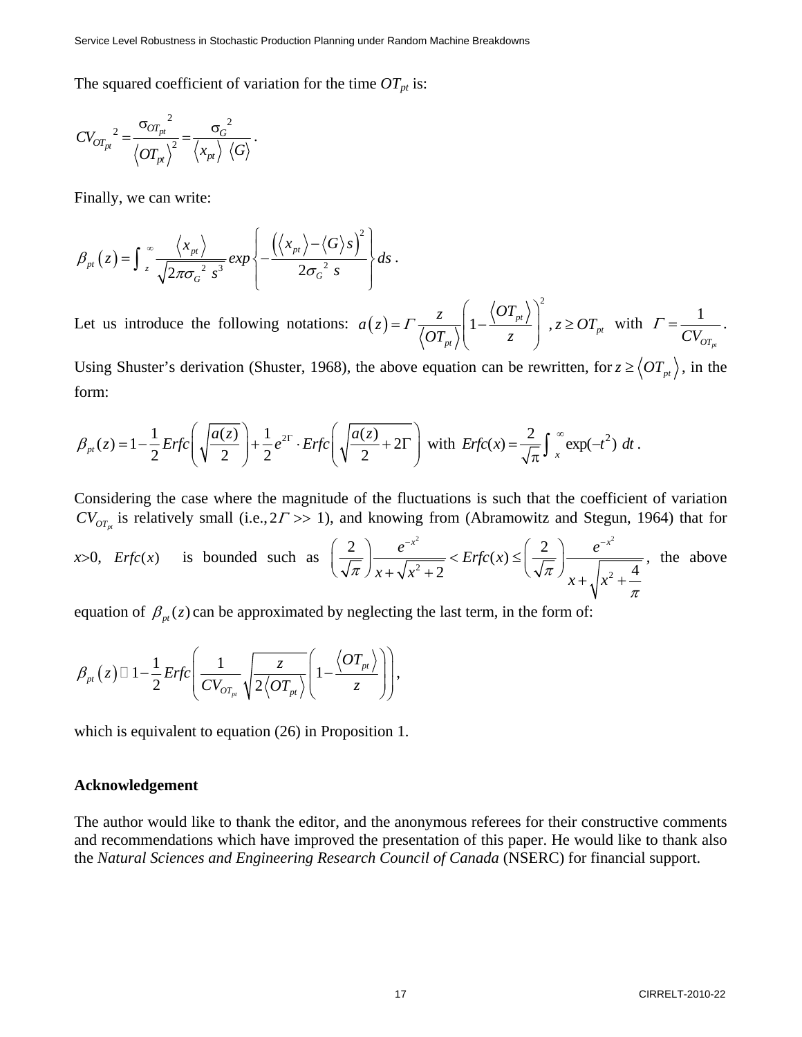The squared coefficient of variation for the time  $OT_{pt}$  is:

$$
CV_{OT_{pt}}^{2} = \frac{\sigma_{OT_{pt}}^{2}}{\langle OT_{pt}\rangle^{2}} = \frac{\sigma_{G}^{2}}{\langle x_{pt}\rangle \langle G\rangle}.
$$

Finally, we can write:

$$
\beta_{pt}(z) = \int_{z}^{\infty} \frac{\langle x_{pt} \rangle}{\sqrt{2\pi \sigma_{G}^{2} s^{3}}} exp \left\{ -\frac{(\langle x_{pt} \rangle - \langle G \rangle s)^{2}}{2\sigma_{G}^{2} s} \right\} ds.
$$

Let us introduce the following notations:  $a(z)$ 2  $1 - \frac{\sqrt{C_1 p_t}}{I}$ ,  $z \geq O T_{pt}$ *pt*  $a(z) = \Gamma \frac{z}{z-1} \left( 1 - \frac{\langle OT_{pt} \rangle}{z} \right)$ ,  $z \geq OT$  $\left|OT_{nt}\right\rangle$   $\left|7\right\rangle$   $z$  $(OT_{\alpha})$  $= \Gamma \frac{z}{\langle \overline{OT}_{pt} \rangle} \left( 1 - \frac{\langle \overline{OT}_{pt} \rangle}{z} \right)$ ,  $z \geq \overline{OT}_{pt}$  with  $\Gamma = \frac{1}{CV_{c}}$  $CV_{OT_{pt}}$  $\Gamma = \frac{1}{\pi r}$ .

Using Shuster's derivation (Shuster, 1968), the above equation can be rewritten, for  $z \geq \langle OT_{pt}\rangle$ , in the form:

$$
\beta_{pt}(z) = 1 - \frac{1}{2} Erfc\left(\sqrt{\frac{a(z)}{2}}\right) + \frac{1}{2}e^{2\Gamma} \cdot Erfc\left(\sqrt{\frac{a(z)}{2} + 2\Gamma}\right) \text{ with } Erfc(x) = \frac{2}{\sqrt{\pi}}\int_{x}^{\infty} \exp(-t^2) dt.
$$

Considering the case where the magnitude of the fluctuations is such that the coefficient of variation  $CV_{OT_{n}}$  is relatively small (i.e.,  $2\Gamma \gg 1$ ), and knowing from (Abramowitz and Stegun, 1964) that for

$$
x>0
$$
,  $Erfc(x)$  is bounded such as  $\left(\frac{2}{\sqrt{\pi}}\right) \frac{e^{-x^2}}{x + \sqrt{x^2 + 2}} < Erfc(x) \le \left(\frac{2}{\sqrt{\pi}}\right) \frac{e^{-x^2}}{x + \sqrt{x^2 + \frac{4}{\pi}}},$  the above

equation of  $\beta_{pt}(z)$  can be approximated by neglecting the last term, in the form of:

$$
\beta_{pt}(z) \Box 1 - \frac{1}{2} Erfc\left(\frac{1}{CV_{OT_{pt}}}\sqrt{\frac{z}{2\left\langle OT_{pt}\right\rangle}}\left(1 - \frac{\left\langle OT_{pt}\right\rangle}{z}\right)\right),\,
$$

which is equivalent to equation  $(26)$  in Proposition 1.

#### **Acknowledgement**

The author would like to thank the editor, and the anonymous referees for their constructive comments and recommendations which have improved the presentation of this paper. He would like to thank also the *Natural Sciences and Engineering Research Council of Canada* (NSERC) for financial support.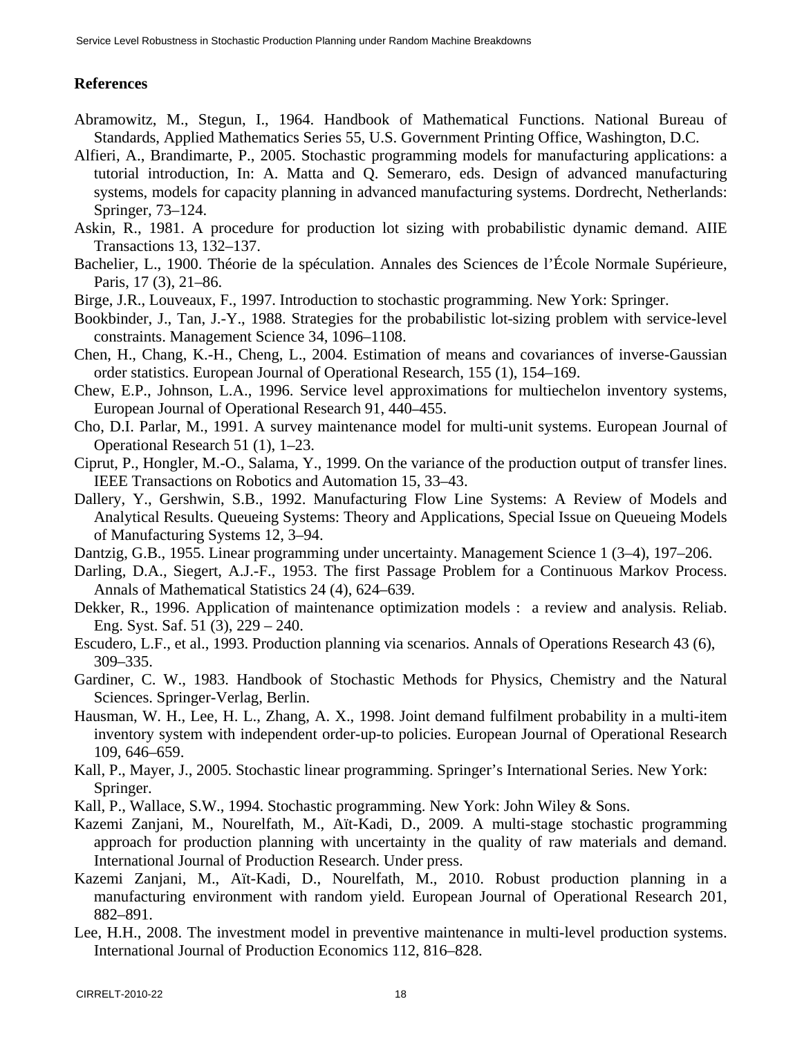# **References**

- Abramowitz, M., Stegun, I., 1964. Handbook of Mathematical Functions. National Bureau of Standards, Applied Mathematics Series 55, U.S. Government Printing Office, Washington, D.C.
- Alfieri, A., Brandimarte, P., 2005. Stochastic programming models for manufacturing applications: a tutorial introduction, In: A. Matta and Q. Semeraro, eds. Design of advanced manufacturing systems, models for capacity planning in advanced manufacturing systems. Dordrecht, Netherlands: Springer, 73–124.
- Askin, R., 1981. A procedure for production lot sizing with probabilistic dynamic demand. AIIE Transactions 13, 132–137.
- Bachelier, L., 1900. Théorie de la spéculation. Annales des Sciences de l'École Normale Supérieure, Paris, 17 (3), 21–86.
- Birge, J.R., Louveaux, F., 1997. Introduction to stochastic programming. New York: Springer.
- Bookbinder, J., Tan, J.-Y., 1988. Strategies for the probabilistic lot-sizing problem with service-level constraints. Management Science 34, 1096–1108.
- Chen, H., Chang, K.-H., Cheng, L., 2004. Estimation of means and covariances of inverse-Gaussian order statistics. European Journal of Operational Research, 155 (1), 154–169.
- Chew, E.P., Johnson, L.A., 1996. Service level approximations for multiechelon inventory systems, European Journal of Operational Research 91, 440–455.
- Cho, D.I. Parlar, M., 1991. A survey maintenance model for multi-unit systems. European Journal of Operational Research 51 (1), 1–23.
- Ciprut, P., Hongler, M.-O., Salama, Y., 1999. On the variance of the production output of transfer lines. IEEE Transactions on Robotics and Automation 15, 33–43.
- Dallery, Y., Gershwin, S.B., 1992. Manufacturing Flow Line Systems: A Review of Models and Analytical Results. Queueing Systems: Theory and Applications, Special Issue on Queueing Models of Manufacturing Systems 12, 3–94.
- Dantzig, G.B., 1955. Linear programming under uncertainty. Management Science 1 (3–4), 197–206.
- Darling, D.A., Siegert, A.J.-F., 1953. The first Passage Problem for a Continuous Markov Process. Annals of Mathematical Statistics 24 (4), 624–639.
- Dekker, R., 1996. Application of maintenance optimization models : a review and analysis. Reliab. Eng. Syst. Saf. 51 (3), 229 – 240.
- Escudero, L.F., et al., 1993. Production planning via scenarios. Annals of Operations Research 43 (6), 309–335.
- Gardiner, C. W., 1983. Handbook of Stochastic Methods for Physics, Chemistry and the Natural Sciences. Springer-Verlag, Berlin.
- Hausman, W. H., Lee, H. L., Zhang, A. X., 1998. Joint demand fulfilment probability in a multi-item inventory system with independent order-up-to policies. European Journal of Operational Research 109, 646–659.
- Kall, P., Mayer, J., 2005. Stochastic linear programming. Springer's International Series. New York: Springer.
- Kall, P., Wallace, S.W., 1994. Stochastic programming. New York: John Wiley & Sons.
- Kazemi Zanjani, M., Nourelfath, M., Aït-Kadi, D., 2009. A multi-stage stochastic programming approach for production planning with uncertainty in the quality of raw materials and demand. International Journal of Production Research. Under press.
- Kazemi Zanjani, M., Aït-Kadi, D., Nourelfath, M., 2010. Robust production planning in a manufacturing environment with random yield. European Journal of Operational Research 201, 882–891.
- Lee, H.H., 2008. The investment model in preventive maintenance in multi-level production systems. International Journal of Production Economics 112, 816–828.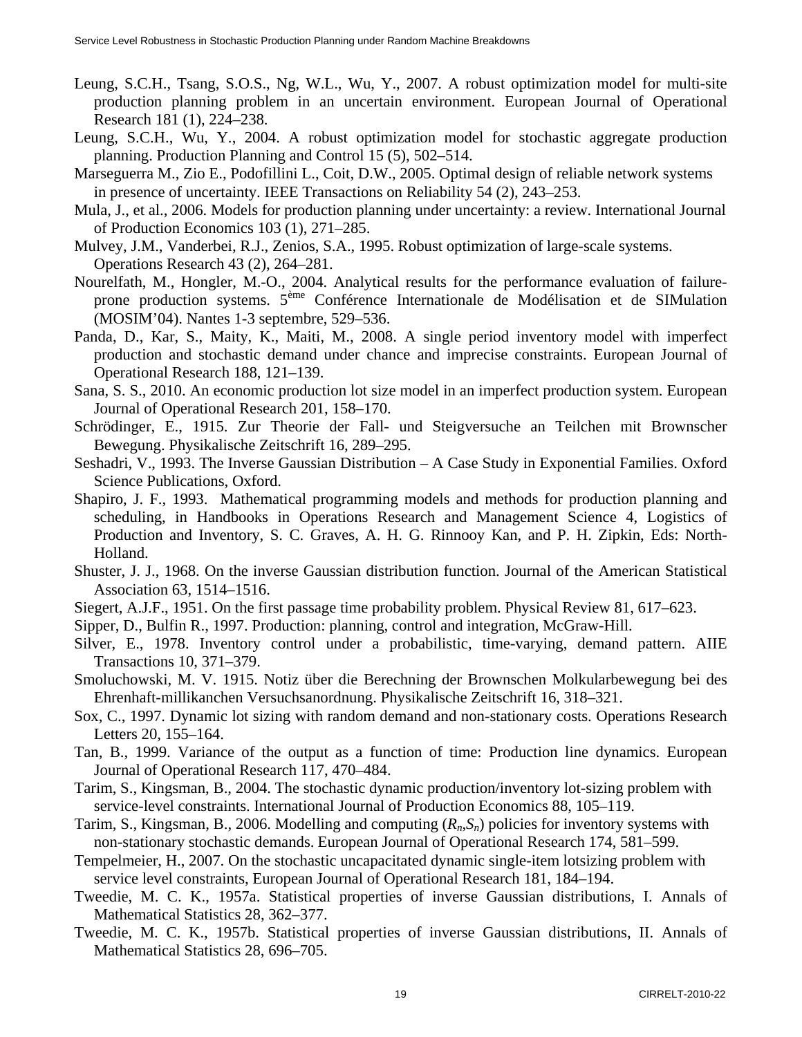- Leung, S.C.H., Tsang, S.O.S., Ng, W.L., Wu, Y., 2007. A robust optimization model for multi-site production planning problem in an uncertain environment. European Journal of Operational Research 181 (1), 224–238.
- Leung, S.C.H., Wu, Y., 2004. A robust optimization model for stochastic aggregate production planning. Production Planning and Control 15 (5), 502–514.
- Marseguerra M., Zio E., Podofillini L., Coit, D.W., 2005. Optimal design of reliable network systems in presence of uncertainty. IEEE Transactions on Reliability 54 (2), 243–253.
- Mula, J., et al., 2006. Models for production planning under uncertainty: a review. International Journal of Production Economics 103 (1), 271–285.
- Mulvey, J.M., Vanderbei, R.J., Zenios, S.A., 1995. Robust optimization of large-scale systems. Operations Research 43 (2), 264–281.
- Nourelfath, M., Hongler, M.-O., 2004. Analytical results for the performance evaluation of failureprone production systems. 5ème Conférence Internationale de Modélisation et de SIMulation (MOSIM'04). Nantes 1-3 septembre, 529–536.
- Panda, D., Kar, S., Maity, K., Maiti, M., 2008. A single period inventory model with imperfect production and stochastic demand under chance and imprecise constraints. European Journal of Operational Research 188, 121–139.
- Sana, S. S., 2010. An economic production lot size model in an imperfect production system. European Journal of Operational Research 201, 158–170.
- Schrödinger, E., 1915. Zur Theorie der Fall- und Steigversuche an Teilchen mit Brownscher Bewegung. Physikalische Zeitschrift 16, 289–295.
- Seshadri, V., 1993. The Inverse Gaussian Distribution A Case Study in Exponential Families. Oxford Science Publications, Oxford.
- Shapiro, J. F., 1993. Mathematical programming models and methods for production planning and scheduling, in Handbooks in Operations Research and Management Science 4, Logistics of Production and Inventory, S. C. Graves, A. H. G. Rinnooy Kan, and P. H. Zipkin, Eds: North-Holland.
- Shuster, J. J., 1968. On the inverse Gaussian distribution function. Journal of the American Statistical Association 63, 1514–1516.
- Siegert, A.J.F., 1951. On the first passage time probability problem. Physical Review 81, 617–623.
- Sipper, D., Bulfin R., 1997. Production: planning, control and integration, McGraw-Hill.
- Silver, E., 1978. Inventory control under a probabilistic, time-varying, demand pattern. AIIE Transactions 10, 371–379.
- Smoluchowski, M. V. 1915. Notiz über die Berechning der Brownschen Molkularbewegung bei des Ehrenhaft-millikanchen Versuchsanordnung. Physikalische Zeitschrift 16, 318–321.
- Sox, C., 1997. Dynamic lot sizing with random demand and non-stationary costs. Operations Research Letters 20, 155–164.
- Tan, B., 1999. Variance of the output as a function of time: Production line dynamics. European Journal of Operational Research 117, 470–484.
- Tarim, S., Kingsman, B., 2004. The stochastic dynamic production/inventory lot-sizing problem with service-level constraints. International Journal of Production Economics 88, 105–119.
- Tarim, S., Kingsman, B., 2006. Modelling and computing (*Rn*,*Sn*) policies for inventory systems with non-stationary stochastic demands. European Journal of Operational Research 174, 581–599.
- Tempelmeier, H., 2007. On the stochastic uncapacitated dynamic single-item lotsizing problem with service level constraints, European Journal of Operational Research 181, 184–194.
- Tweedie, M. C. K., 1957a. Statistical properties of inverse Gaussian distributions, I. Annals of Mathematical Statistics 28, 362–377.
- Tweedie, M. C. K., 1957b. Statistical properties of inverse Gaussian distributions, II. Annals of Mathematical Statistics 28, 696–705.